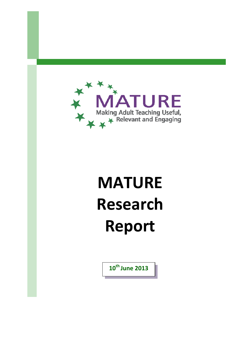

# **MATURE Research Report**

**10th June 2013**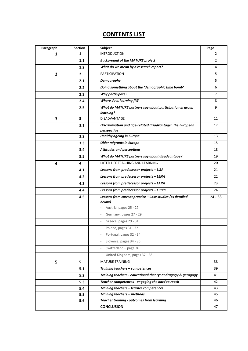# **CONTENTS LIST**

| Paragraph      | <b>Section</b> | Subject                                                      | Page           |
|----------------|----------------|--------------------------------------------------------------|----------------|
| 1              | 1              | <b>INTRODUCTION</b>                                          | $\overline{2}$ |
|                | 1.1            | <b>Background of the MATURE project</b>                      | $\overline{2}$ |
|                | 1.2            | What do we mean by a research report?                        | 4              |
| $\overline{2}$ | $\overline{2}$ | <b>PARTICIPATION</b>                                         | 5              |
|                | 2.1            | Demography                                                   | 5              |
|                | 2.2            | Doing something about the 'demographic time bomb'            | 6              |
|                | 2.3            | <b>Why participate?</b>                                      | 7              |
|                | 2.4            | Where does learning fit?                                     | 8              |
|                | 2.5            | What do MATURE partners say about participation in group     | 9              |
|                |                | learning?                                                    |                |
| 3              | 3              | <b>DISADVANTAGE</b>                                          | 11             |
|                | 3.1            | Discrimination and age-related disadvantage: the European    | 12             |
|                | 3.2            | perspective<br><b>Healthy ageing in Europe</b>               | 13             |
|                |                |                                                              |                |
|                | 3.3            | <b>Older migrants in Europe</b>                              | 15             |
|                | 3.4            | <b>Attitudes and perceptions</b>                             | 18             |
|                | 3.5            | What do MATURE partners say about disadvantage?              | 19             |
| 4              | 4              | LATER-LIFE TEACHING AND LEARNING                             | 20             |
|                | 4.1            | Lessons from predecessor projects - LISA                     | 21             |
|                | 4.2            | Lessons from predecessor projects - LENA                     | 22             |
|                | 4.3            | Lessons from predecessor projects - LARA                     | 23             |
|                | 4.4            | Lessons from predecessor projects - EuBia                    | 24             |
|                | 4.5            | Lessons from current practice - Case studies (as detailed    | $24 - 38$      |
|                |                | below)                                                       |                |
|                |                | Austria, pages 25 - 27<br>$\overline{\phantom{a}}$           |                |
|                |                | Germany, pages 27 - 29                                       |                |
|                |                | Greece, pages 29 - 31<br>$\sim$                              |                |
|                |                | Poland, pages 31 - 32                                        |                |
|                |                | Portugal, pages 32 - 34                                      |                |
|                |                | Slovenia, pages 34 - 36                                      |                |
|                |                | Switzerland $-$ page 36                                      |                |
|                |                | United Kingdom, pages 37 - 38<br>$\overline{\phantom{a}}$    |                |
| 5              | 5              | <b>MATURE TRAINING</b>                                       | 38             |
|                | 5.1            | Training teachers - competences                              | 39             |
|                | 5.2            | Training teachers - educational theory: andragogy & geragogy | 41             |
|                | 5.3            | Teacher competences - engaging the hard to reach             | 42             |
|                | 5.4            | Training teachers - learner competences                      | 43             |
|                | 5.5            | Training teachers - methods                                  | 45             |
|                | 5.6            | <b>Teacher training - outcomes from learning</b>             | 46             |
|                |                | <b>CONCLUSION</b>                                            | 47             |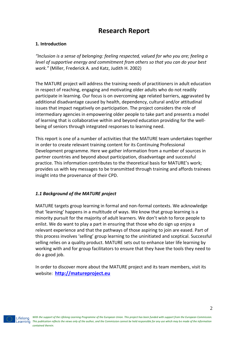# **Research Report**

# **1. Introduction**

*"Inclusion is a sense of belonging: feeling respected, valued for who you are; feeling a level of supportive energy and commitment from others so that you can do your best work."* (Miller, Frederick A. and Katz, Judith H. 2002)

The MATURE project will address the training needs of practitioners in adult education in respect of reaching, engaging and motivating older adults who do not readily participate in learning. Our focus is on overcoming age related barriers, aggravated by additional disadvantage caused by health, dependency, cultural and/or attitudinal issues that impact negatively on participation. The project considers the role of intermediary agencies in empowering older people to take part and presents a model of learning that is collaborative within and beyond education providing for the wellbeing of seniors through integrated responses to learning need.

This report is one of a number of activities that the MATURE team undertakes together in order to create relevant training content for its Continuing Professional Development programme. Here we gather information from a number of sources in partner countries and beyond about participation, disadvantage and successful practice. This information contributes to the theoretical basis for MATURE's work; provides us with key messages to be transmitted through training and affords trainees insight into the provenance of their CPD.

# *1.1 Background of the MATURE project*

MATURE targets group learning in formal and non-formal contexts. We acknowledge that 'learning' happens in a multitude of ways. We know that group learning is a minority pursuit for the majority of adult learners. We don't wish to force people to enlist. We do want to play a part in ensuring that those who do sign up enjoy a relevant experience and that the pathways of those aspiring to join are eased. Part of this process involves 'selling' group learning to the uninitiated and sceptical. Successful selling relies on a quality product. MATURE sets out to enhance later life learning by working with and for group facilitators to ensure that they have the tools they need to do a good job.

In order to discover more about the MATURE project and its team members, visit its website: **[http://matureproject.eu](http://matureproject.eu/)**

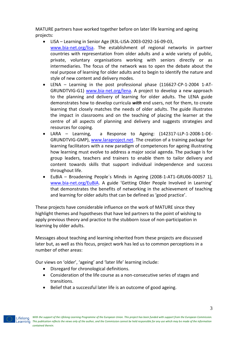MATURE partners have worked together before on later life learning and ageing projects:

- LISA Learning in Senior Age (R3L-LISA-2003-0292-16-09-03, [www.bia-net.org/lisa.](http://www.bia-net.org/lisa) The establishment of regional networks in partner countries with representation from older adults and a wide variety of public, private, voluntary organisations working with seniors directly or as intermediaries. The focus of the network was to open the debate about the real purpose of learning for older adults and to begin to identify the nature and style of new content and delivery modes.
- LENA Learning in the post professional phase (116627-CP-1-2004 1-AT-GRUNDTVIG-G1) [www.bia-net.org/lena.](http://www.bia-net.org/lena) A project to develop a new approach to the planning and delivery of learning for older adults. The LENA guide demonstrates how to develop curricula *with* end users, not for them, to create learning that closely matches the needs of older adults. The guide illustrates the impact in classrooms and on the teaching of placing the learner at the centre of all aspects of planning and delivery and suggests strategies and resources for coping.
- LARA Learning, a Response to Ageing: (142317-LLP-1-2008-1-DE-GRUNDTVIG-GMP), [www.laraproject.net.](http://www.laraproject.net/) The creation of a training package for learning facilitators with a new paradigm of competences for ageing illustrating how learning must evolve to address a major social agenda. The package is for group leaders, teachers and trainers to enable them to tailor delivery and content towards skills that support individual independence and success throughout life.
- EuBiA Broadening People´s Minds in Ageing (2008-1-AT1-GRU06-00057 1), [www.bia-net.org/EuBiA.](http://www.bia-net.org/eubia) A guide 'Getting Older People Involved in Learning' that demonstrates the benefits of networking in the achievement of teaching and learning for older adults that can be defined as 'good practice'.

These projects have considerable influence on the work of MATURE since they highlight themes and hypotheses that have led partners to the point of wishing to apply previous theory and practice to the stubborn issue of non-participation in learning by older adults.

Messages about teaching and learning inherited from these projects are discussed later but, as well as this focus, project work has led us to common perceptions in a number of other areas:

Our views on 'older', 'ageing' and 'later life' learning include:

- Disregard for chronological definitions.
- Consideration of the life course as a non-consecutive series of stages and transitions.
- Belief that a successful later life is an outcome of good ageing.

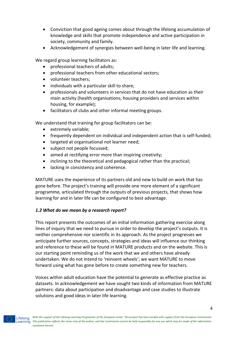- Conviction that good ageing comes about through the lifelong accumulation of knowledge and skills that promote independence and active participation in society, community and family.
- Acknowledgement of synergies between well-being in later life and learning.

We regard group learning facilitators as:

- professional teachers of adults;
- professional teachers from other educational sectors;
- volunteer teachers;
- individuals with a particular skill to share:
- professionals and volunteers in services that do not have education as their main activity (health organisations; housing providers and services within housing, for example);
- facilitators of clubs and other informal meeting groups.

We understand that training for group facilitators can be:

- extremely variable;
- frequently dependent on individual and independent action that is self-funded;
- targeted at organisational not learner need;
- subject not people focussed;
- aimed at rectifying error more than inspiring creativity;
- inclining to the theoretical and pedagogical rather than the practical;
- lacking in consistency and coherence.

MATURE uses the experience of its partners old and new to build on work that has gone before. The project's training will provide one more element of a significant programme, articulated through the outputs of previous projects, that shows how learning for and in later life can be configured to best advantage.

# *1.2 What do we mean by a research report?*

This report presents the outcomes of an initial information gathering exercise along lines of inquiry that we need to pursue in order to develop the project's outputs. It is neither comprehensive nor scientific in its approach. As the project progresses we anticipate further sources, concepts, strategies and ideas will influence our thinking and reference to these will be found in MATURE products and on the website. This is our starting point reminding us of the work that we and others have already undertaken. We do not intend to 'reinvent wheels'; we want MATURE to move forward using what has gone before to create something new for teachers.

Voices within adult education have the potential to generate as effective practice as datasets. In acknowledgement we have sought two kinds of information from MATURE partners: data about participation and disadvantage and case studies to illustrate solutions and good ideas in later life learning.

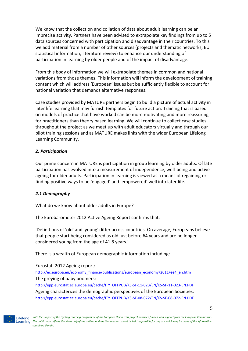We know that the collection and collation of data about adult learning can be an imprecise activity. Partners have been advised to extrapolate key findings from up to 5 data sources concerned with participation and disadvantage in their countries. To this we add material from a number of other sources (projects and thematic networks; EU statistical information; literature review) to enhance our understanding of participation in learning by older people and of the impact of disadvantage.

From this body of information we will extrapolate themes in common and national variations from those themes. This information will inform the development of training content which will address 'European' issues but be sufficiently flexible to account for national variation that demands alternative responses.

Case studies provided by MATURE partners begin to build a picture of actual activity in later life learning that may furnish templates for future action. Training that is based on models of practice that have worked can be more motivating and more reassuring for practitioners than theory based learning. We will continue to collect case studies throughout the project as we meet up with adult educators virtually and through our pilot training sessions and as MATURE makes links with the wider European Lifelong Learning Community.

# *2. Participation*

Our prime concern in MATURE is participation in group learning by older adults. Of late participation has evolved into a measurement of independence, well-being and active ageing for older adults. Participation in learning is viewed as a means of regaining or finding positive ways to be 'engaged' and 'empowered' well into later life.

# *2.1 Demography*

What do we know about older adults in Europe?

The Eurobarometer 2012 Active Ageing Report confirms that:

'Definitions of 'old' and 'young' differ across countries. On average, Europeans believe that people start being considered as old just before 64 years and are no longer considered young from the age of 41.8 years.'

There is a wealth of European demographic information including:

#### Eurostat 2012 Ageing report:

[http://ec.europa.eu/economy\\_finance/publications/european\\_economy/2011/ee4\\_en.htm](http://ec.europa.eu/economy_finance/publications/european_economy/2011/ee4_en.htm) The greying of baby boomers: [http://epp.eurostat.ec.europa.eu/cache/ITY\\_OFFPUB/KS-SF-11-023/EN/KS-SF-11-023-EN.PDF](http://epp.eurostat.ec.europa.eu/cache/ITY_OFFPUB/KS-SF-11-023/EN/KS-SF-11-023-EN.PDF) Ageing characterizes the demographic perspectives of the European Societies: [http://epp.eurostat.ec.europa.eu/cache/ITY\\_OFFPUB/KS-SF-08-072/EN/KS-SF-08-072-EN.PDF](http://epp.eurostat.ec.europa.eu/cache/ITY_OFFPUB/KS-SF-08-072/EN/KS-SF-08-072-EN.PDF)

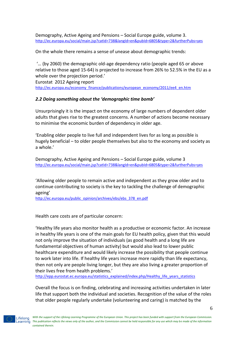Demography, Active Ageing and Pensions – Social Europe guide, volume 3. <http://ec.europa.eu/social/main.jsp?catId=738&langId=en&pubId=6805&type=2&furtherPubs=yes>

On the whole there remains a sense of unease about demographic trends:

'… (by 2060) the demographic old-age dependency ratio (people aged 65 or above relative to those aged 15-64) is projected to increase from 26% to 52.5% in the EU as a whole over the projection period.'

Eurostat 2012 Ageing report [http://ec.europa.eu/economy\\_finance/publications/european\\_economy/2011/ee4\\_en.htm](http://ec.europa.eu/economy_finance/publications/european_economy/2011/ee4_en.htm)

#### *2.2 Doing something about the 'demographic time bomb'*

Unsurprisingly it is the impact on the economy of large numbers of dependent older adults that gives rise to the greatest concerns. A number of actions become necessary to minimise the economic burden of dependency in older age.

'Enabling older people to live full and independent lives for as long as possible is hugely beneficial – to older people themselves but also to the economy and society as a whole.'

Demography, Active Ageing and Pensions – Social Europe guide, volume 3 <http://ec.europa.eu/social/main.jsp?catId=738&langId=en&pubId=6805&type=2&furtherPubs=yes>

'Allowing older people to remain active and independent as they grow older and to continue contributing to society is the key to tackling the challenge of demographic ageing'

[http://ec.europa.eu/public\\_opinion/archives/ebs/ebs\\_378\\_en.pdf](http://ec.europa.eu/public_opinion/archives/ebs/ebs_378_en.pdf)

Health care costs are of particular concern:

'Healthy life years also monitor health as a productive or economic factor. An increase in healthy life years is one of the main goals for EU health policy, given that this would not only improve the situation of individuals (as good health and a long life are fundamental objectives of human activity) but would also lead to lower public healthcare expenditure and would likely increase the possibility that people continue to work later into life. If healthy life years increase more rapidly than life expectancy, then not only are people living longer, but they are also living a greater proportion of their lives free from health problems.'

[http://epp.eurostat.ec.europa.eu/statistics\\_explained/index.php/Healthy\\_life\\_years\\_statistics](http://epp.eurostat.ec.europa.eu/statistics_explained/index.php/Healthy_life_years_statistics)

Overall the focus is on finding, celebrating and increasing activities undertaken in later life that support both the individual and societies. Recognition of the value of the roles that older people regularly undertake (volunteering and caring) is matched by the

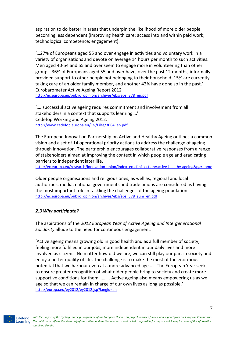aspiration to do better in areas that underpin the likelihood of more older people becoming less dependent (improving health care; access into and within paid work; technological competence; engagement).

'…27% of Europeans aged 55 and over engage in activities and voluntary work in a variety of organisations and devote on average 14 hours per month to such activities. Men aged 40-54 and 55 and over seem to engage more in volunteering than other groups. 36% of Europeans aged 55 and over have, over the past 12 months, informally provided support to other people not belonging to their household. 15% are currently taking care of an older family member, and another 42% have done so in the past.' Eurobarometer Active Ageing Report 2012 [http://ec.europa.eu/public\\_opinion/archives/ebs/ebs\\_378\\_en.pdf](http://ec.europa.eu/public_opinion/archives/ebs/ebs_378_en.pdf)

'…..successful active ageing requires commitment and involvement from all stakeholders in a context that supports learning….' Cedefop Working and Ageing 2012: [http://www.cedefop.europa.eu/EN/Files/3064\\_en.pdf](http://www.cedefop.europa.eu/EN/Files/3064_en.pdf)

The European Innovation Partnership on Active and Healthy Ageing outlines a common vision and a set of 14 operational priority actions to address the challenge of ageing through innovation. The partnership encourages collaborative responses from a range of stakeholders aimed at improving the context in which people age and eradicating barriers to independent later life.

[http://ec.europa.eu/research/innovation-union/index\\_en.cfm?section=active-healthy-ageing&pg=home](http://ec.europa.eu/research/innovation-union/index_en.cfm?section=active-healthy-ageing&pg=home)

Older people organisations and religious ones, as well as, regional and local authorities, media, national governments and trade unions are considered as having the most important role in tackling the challenges of the ageing population. [http://ec.europa.eu/public\\_opinion/archives/ebs/ebs\\_378\\_sum\\_en.pdf](http://ec.europa.eu/public_opinion/archives/ebs/ebs_378_sum_en.pdf)

#### *2.3 Why participate?*

The aspirations of the *2012 European Year of Active Ageing and Intergenerational Solidarity* allude to the need for continuous engagement:

'Active ageing means growing old in good health and as a full member of society, feeling more fulfilled in our jobs, more independent in our daily lives and more involved as citizens. No matter how old we are, we can still play our part in society and enjoy a better quality of life. The challenge is to make the most of the enormous potential that we harbour even at a more advanced age…… The European Year seeks to ensure greater recognition of what older people bring to society and create more supportive conditions for them………. Active ageing also means empowering us as we age so that we can remain in charge of our own lives as long as possible.' <http://europa.eu/ey2012/ey2012.jsp?langId=en>

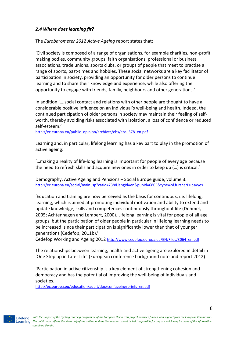# *2.4 Where does learning fit?*

The *Eurobarometer 2012 Active Ageing* report states that:

'Civil society is composed of a range of organisations, for example charities, non-profit making bodies, community groups, faith organisations, professional or business associations, trade unions, sports clubs, or groups of people that meet to practise a range of sports, past-times and hobbies. These social networks are a key facilitator of participation in society, providing an opportunity for older persons to continue learning and to share their knowledge and experience, while also offering the opportunity to engage with friends, family, neighbours and other generations.'

In addition '….social contact and relations with other people are thought to have a considerable positive influence on an individual's well-being and health. Indeed, the continued participation of older persons in society may maintain their feeling of selfworth, thereby avoiding risks associated with isolation, a loss of confidence or reduced self-esteem.'

[http://ec.europa.eu/public\\_opinion/archives/ebs/ebs\\_378\\_en.pdf](http://ec.europa.eu/public_opinion/archives/ebs/ebs_378_en.pdf)

Learning and, in particular, lifelong learning has a key part to play in the promotion of active ageing:

'…making a reality of life-long learning is important for people of every age because the need to refresh skills and acquire new ones in order to keep up (…) is critical.'

Demography, Active Ageing and Pensions – Social Europe guide, volume 3. <http://ec.europa.eu/social/main.jsp?catId=738&langId=en&pubId=6805&type=2&furtherPubs=yes>

'Education and training are now perceived as the basis for continuous, i.e. lifelong, learning, which is aimed at promoting individual motivation and ability to extend and update knowledge, skills and competences continuously throughout life (Dehmel, 2005; Achtenhagen and Lempert, 2000). Lifelong learning is vital for people of all age groups, but the participation of older people in particular in lifelong learning needs to be increased, since their participation is significantly lower than that of younger generations (Cedefop, 2011b).'

Cedefop Working and Ageing 2012 [http://www.cedefop.europa.eu/EN/Files/3064\\_en.pdf](http://www.cedefop.europa.eu/EN/Files/3064_en.pdf)

The relationships between learning, health and active ageing are explored in detail in 'One Step up in Later Life' (European conference background note and report 2012):

'Participation in active citizenship is a key element of strengthening cohesion and democracy and has the potential of improving the well-being of individuals and societies.'

[http://ec.europa.eu/education/adult/doc/confageing/briefs\\_en.pdf](http://ec.europa.eu/education/adult/doc/confageing/briefs_en.pdf)

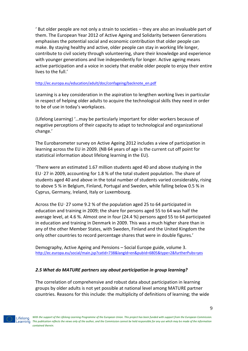' But older people are not only a strain to societies – they are also an invaluable part of them. The European Year 2012 of Active Ageing and Solidarity between Generations emphasises the potential social and economic contribution that older people can make. By staying healthy and active, older people can stay in working life longer, contribute to civil society through volunteering, share their knowledge and experience with younger generations and live independently for longer. Active ageing means active participation and a voice in society that enable older people to enjoy their entire lives to the full.'

#### [http://ec.europa.eu/education/adult/doc/confageing/backnote\\_en.pdf](http://ec.europa.eu/education/adult/doc/confageing/backnote_en.pdf)

Learning is a key consideration in the aspiration to lengthen working lives in particular in respect of helping older adults to acquire the technological skills they need in order to be of use in today's workplaces.

(Lifelong Learning) '…may be particularly important for older workers because of negative perceptions of their capacity to adapt to technological and organizational change.'

The Eurobarometer survey on Active Ageing 2012 includes a view of participation in learning across the EU in 2009. (NB 64 years of age is the current cut off point for statistical information about lifelong learning in the EU).

'There were an estimated 1.67 million students aged 40 and above studying in the EU‑27 in 2009, accounting for 1.8 % of the total student population. The share of students aged 40 and above in the total number of students varied considerably, rising to above 5 % in Belgium, Finland, Portugal and Sweden, while falling below 0.5 % in Cyprus, Germany, Ireland, Italy or Luxembourg.

Across the EU‑27 some 9.2 % of the population aged 25 to 64 participated in education and training in 2009; the share for persons aged 55 to 64 was half the average level, at 4.6 %. Almost one in four (24.4 %) persons aged 55 to 64 participated in education and training in Denmark in 2009. This was a much higher share than in any of the other Member States, with Sweden, Finland and the United Kingdom the only other countries to record percentage shares that were in double figures.'

Demography, Active Ageing and Pensions – Social Europe guide, volume 3. <http://ec.europa.eu/social/main.jsp?catId=738&langId=en&pubId=6805&type=2&furtherPubs=yes>

# *2.5 What do MATURE partners say about participation in group learning?*

The correlation of comprehensive and robust data about participation in learning groups by older adults is not yet possible at national level among MATURE partner countries. Reasons for this include: the multiplicity of definitions of learning; the wide

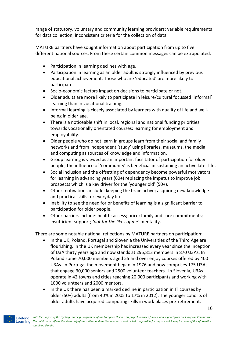range of statutory, voluntary and community learning providers; variable requirements for data collection; inconsistent criteria for the collection of data.

MATURE partners have sought information about participation from up to five different national sources. From these certain common messages can be extrapolated:

- Participation in learning declines with age.
- Participation in learning as an older adult is strongly influenced by previous educational achievement. Those who are 'educated' are more likely to participate.
- Socio-economic factors impact on decisions to participate or not.
- Older adults are more likely to participate in leisure/cultural focussed 'informal' learning than in vocational training.
- Informal learning is closely associated by learners with quality of life and wellbeing in older age.
- There is a noticeable shift in local, regional and national funding priorities towards vocationally orientated courses; learning for employment and employability.
- Older people who do not learn in groups learn from their social and family networks and from independent 'study' using libraries, museums, the media and computing as sources of knowledge and information.
- Group learning is viewed as an important facilitator of participation for older people; the influence of 'community' is beneficial in sustaining an active later life.
- Social inclusion and the offsetting of dependency become powerful motivators for learning in advancing years (60+) replacing the impetus to improve job prospects which is a key driver for the 'younger old' (50+).
- Other motivations include: keeping the brain active; acquiring new knowledge and practical skills for everyday life.
- Inability to see the need for or benefits of learning is a significant barrier to participation for older people.
- Other barriers include: health; access; price; family and care commitments; insufficient support; *'not for the likes of me'* mentality.

There are some notable national reflections by MATURE partners on participation:

- In the UK, Poland, Portugal and Slovenia the Universities of the Third Age are flourishing. In the UK membership has increased every year since the inception of U3A thirty years ago and now stands at 295,813 members in 870 U3As. In Poland some 70,000 members aged 55 and over enjoy courses offered by 400 U3As. In Portugal the movement began in 1976 and now comprises 175 U3As that engage 30,000 seniors and 2500 volunteer teachers. In Slovenia, U3As operate in 42 towns and cities reaching 20,000 participants and working with 1000 volunteers and 2000 mentors.
- In the UK there has been a marked decline in participation in IT courses by older (50+) adults (from 40% in 2005 to 17% in 2012). The younger cohorts of older adults have acquired computing skills in work places pre-retirement.

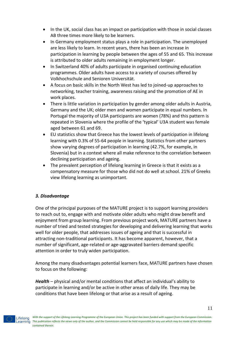- In the UK, social class has an impact on participation with those in social classes AB three times more likely to be learners.
- In Germany employment status plays a role in participation. The unemployed are less likely to learn. In recent years, there has been an increase in participation in learning by people between the ages of 55 and 65. This increase is attributed to older adults remaining in employment longer.
- In Switzerland 40% of adults participate in organised continuing education programmes. Older adults have access to a variety of courses offered by Volkhochschule and Senioren Universität.
- A focus on basic skills in the North West has led to joined-up approaches to networking, teacher training, awareness raising and the promotion of AE in work places.
- There is little variation in participation by gender among older adults in Austria, Germany and the UK; older men and women participate in equal numbers. In Portugal the majority of U3A participants are women (78%) and this pattern is repeated in Slovenia where the profile of the 'typical' U3A student was female aged between 61 and 69.
- EU statistics show that Greece has the lowest levels of participation in lifelong learning with 0.3% of 55-64 people in learning. Statistics from other partners show varying degrees of participation in learning (42.7%, for example, in Slovenia) but in a context where all make reference to the correlation between declining participation and ageing.
- The prevalent perception of lifelong learning in Greece is that it exists as a compensatory measure for those who did not do well at school. 21% of Greeks view lifelong learning as unimportant.

# *3. Disadvantage*

One of the principal purposes of the MATURE project is to support learning providers to reach out to, engage with and motivate older adults who might draw benefit and enjoyment from group learning. From previous project work, MATURE partners have a number of tried and tested strategies for developing and delivering learning that works well for older people, that addresses issues of ageing and that is successful in attracting non-traditional participants. It has become apparent, however, that a number of significant, age-related or age-aggravated barriers demand specific attention in order to truly widen participation.

Among the many disadvantages potential learners face, MATURE partners have chosen to focus on the following:

*Health* – physical and/or mental conditions that affect an individual's ability to participate in learning and/or be active in other areas of daily life. They may be conditions that have been lifelong or that arise as a result of ageing.

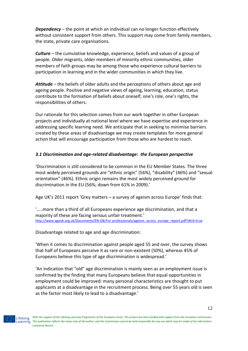*Dependency* – the point at which an individual can no longer function effectively without consistent support from others. This support may come from family members, the state, private care organisations.

*Culture* – the cumulative knowledge, experience, beliefs and values of a group of people. Older migrants, older members of minority ethnic communities, older members of faith groups may be among those who experience cultural barriers to participation in learning and in the wider communities in which they live.

*Attitude* – the beliefs of older adults and the perceptions of others about age and ageing people. Positive and negative views of ageing, learning, education, status contribute to the formation of beliefs about oneself, one's role, one's rights, the responsibilities of others.

Our rationale for this selection comes from our work together in other European projects and individually at national level where we have expertise and experience in addressing specific learning need. We anticipate that in seeking to minimise barriers created by these areas of disadvantage we may create templates for more general action that will encourage participation from those who are hardest to reach.

# *3.1 Discrimination and age-related disadvantage: the European perspective*

'Discrimination is still considered to be common in the EU Member States. The three most widely perceived grounds are "ethnic origin" (56%), "disability" (46%) and "sexual orientation" (46%). Ethnic origin remains the most widely perceived ground for discrimination in the EU (56%; down from 61% in 2009).'

Age UK's 2011 report 'Grey matters – a survey of ageism across Europe' finds that:

'…..more than a third of all Europeans experience age discrimination, and that a majority of these are facing serious unfair treatment.' [http://www.ageuk.org.uk/Documents/EN-GB/For-professionals/ageism\\_across\\_europe\\_report.pdf?dtrk=true](http://www.ageuk.org.uk/Documents/EN-GB/For-professionals/ageism_across_europe_report.pdf?dtrk=true)

Disadvantage related to age and age discrimination:

'When it comes to discrimination against people aged 55 and over, the survey shows that half of Europeans perceive it as rare or non-existent (50%), whereas 45% of Europeans believe this type of age discrimination is widespread.'

'An indication that "old" age discrimination is mainly seen as an employment issue is confirmed by the finding that many Europeans believe that equal opportunities in employment could be improved: many personal characteristics are thought to put applicants at a disadvantage in the recruitment process. Being over 55 years old is seen as the factor most likely to lead to a disadvantage.'

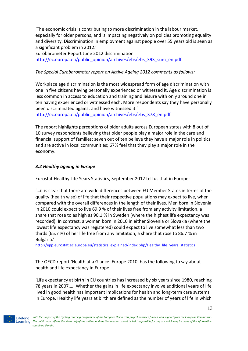'The economic crisis is contributing to more discrimination in the labour market, especially for older persons, and is impacting negatively on policies promoting equality and diversity. Discrimination in employment against people over 55 years old is seen as a significant problem in 2012.'

Eurobarometer Report June 2012 discrimination [http://ec.europa.eu/public\\_opinion/archives/ebs/ebs\\_393\\_sum\\_en.pdf](http://ec.europa.eu/public_opinion/archives/ebs/ebs_393_sum_en.pdf)

# *The Special Eurobarometer report on Active Ageing 2012 comments as follows:*

Workplace age discrimination is the most widespread form of age discrimination with one in five citizens having personally experienced or witnessed it. Age discrimination is less common in access to education and training and leisure with only around one in ten having experienced or witnessed each. More respondents say they have personally been discriminated against and have witnessed it.'

[http://ec.europa.eu/public\\_opinion/archives/ebs/ebs\\_378\\_en.pdf](http://ec.europa.eu/public_opinion/archives/ebs/ebs_378_en.pdf)

The report highlights perceptions of older adults across European states with 8 out of 10 survey respondents believing that older people play a major role in the care and financial support of families; seven out of ten believe they have a major role in politics and are active in local communities; 67% feel that they play a major role in the economy.

# *3.2 Healthy ageing in Europe*

Eurostat Healthy Life Years Statistics, September 2012 tell us that in Europe:

'…it is clear that there are wide differences between EU Member States in terms of the quality (health wise) of life that their respective populations may expect to live, when compared with the overall differences in the length of their lives. Men born in Slovenia in 2010 could expect to live 69.9 % of their lives free from any activity limitation, a share that rose to as high as 90.1 % in Sweden (where the highest life expectancy was recorded). In contrast, a woman born in 2010 in either Slovenia or Slovakia (where the lowest life expectancy was registered) could expect to live somewhat less than two thirds (65.7 %) of her life free from any limitation, a share that rose to 86.7 % in Bulgaria.'

[http://epp.eurostat.ec.europa.eu/statistics\\_explained/index.php/Healthy\\_life\\_years\\_statistics](http://epp.eurostat.ec.europa.eu/statistics_explained/index.php/Healthy_life_years_statistics)

The OECD report 'Health at a Glance: Europe 2010' has the following to say about health and life expectancy in Europe:

'Life expectancy at birth in EU countries has increased by six years since 1980, reaching 78 years in 2007….. Whether the gains in life expectancy involve additional years of life lived in good health has important implications for health and long-term care systems in Europe. Healthy life years at birth are defined as the number of years of life in which

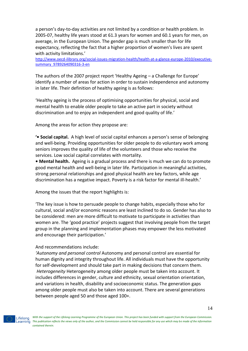a person's day-to-day activities are not limited by a condition or health problem. In 2005-07, healthy life years stood at 61.3 years for women and 60.1 years for men, on average, in the European Union. The gender gap is much smaller than for life expectancy, reflecting the fact that a higher proportion of women's lives are spent with activity limitations.'

[http://www.oecd-ilibrary.org/social-issues-migration-health/health-at-a-glance-europe-2010/executive](http://www.oecd-ilibrary.org/social-issues-migration-health/health-at-a-glance-europe-2010/executive-summary_9789264090316-3-en)[summary\\_9789264090316-3-en](http://www.oecd-ilibrary.org/social-issues-migration-health/health-at-a-glance-europe-2010/executive-summary_9789264090316-3-en)

The authors of the 2007 project report 'Healthy Ageing – a Challenge for Europe' identify a number of areas for action in order to sustain independence and autonomy in later life. Their definition of healthy ageing is as follows:

'Healthy ageing is the process of optimising opportunities for physical, social and mental health to enable older people to take an active part in society without discrimination and to enjoy an independent and good quality of life.'

Among the areas for action they propose are:

**'• Social capital.** A high level of social capital enhances a person's sense of belonging and well-being. Providing opportunities for older people to do voluntary work among seniors improves the quality of life of the volunteers and those who receive the services. Low social capital correlates with mortality.

**• Mental health.** Ageing is a gradual process and there is much we can do to promote good mental health and well-being in later life. Participation in meaningful activities, strong personal relationships and good physical health are key factors, while age discrimination has a negative impact. Poverty is a risk factor for mental ill-health.'

Among the issues that the report highlights is:

'The key issue is how to persuade people to change habits, especially those who for cultural, social and/or economic reasons are least inclined to do so. Gender has also to be considered: men are more difficult to motivate to participate in activities than women are. The 'good practice' projects suggest that involving people from the target group in the planning and implementation phases may empower the less motivated and encourage their participation.'

#### And recommendations include:

*'Autonomy and personal control* Autonomy and personal control are essential for human dignity and integrity throughout life. All individuals must have the opportunity for self-development and should take part in making decisions that concern them. *Heterogeneity* Heterogeneity among older people must be taken into account. It includes differences in gender, culture and ethnicity, sexual orientation orientation, and variations in health, disability and socioeconomic status. The generation gaps among older people must also be taken into account. There are several generations between people aged 50 and those aged 100+.

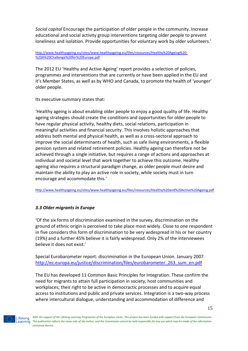*Social capital* Encourage the participation of older people in the community. Increase educational and social activity group interventions targeting older people to prevent loneliness and isolation. Provide opportunities for voluntary work by older volunteers.'

[http://www.healthyageing.eu/sites/www.healthyageing.eu/files/resources/Healthy%20Ageing%20-](http://www.healthyageing.eu/sites/www.healthyageing.eu/files/resources/Healthy%20Ageing%20-%20A%20Challenge%20for%20Europe.pdf) [%20A%20Challenge%20for%20Europe.pdf](http://www.healthyageing.eu/sites/www.healthyageing.eu/files/resources/Healthy%20Ageing%20-%20A%20Challenge%20for%20Europe.pdf)

The 2012 EU 'Healthy and Active Ageing' report provides a selection of policies, programmes and interventions that are currently or have been applied in the EU and it's Member States, as well as by WHO and Canada, to promote the health of 'younger' older people.

Its executive summary states that:

'Healthy ageing is about enabling older people to enjoy a good quality of life. Healthy ageing strategies should create the conditions and opportunities for older people to have regular physical activity, healthy diets, social relations, participation in meaningful activities and financial security. This involves holistic approaches that address both mental and physical health, as well as a cross-sectoral approach to improve the social determinants of health, such as safe living environments, a flexible pension system and related retirement policies. Healthy ageing can therefore not be achieved through a single initiative, but requires a range of actions and approaches at individual and societal level that work together to achieve this outcome. Healthy ageing also requires a structural paradigm change, as older people must desire and maintain the ability to play an active role in society, while society must in turn encourage and accommodate this.'

<http://www.healthyageing.eu/sites/www.healthyageing.eu/files/resources/Healthy%20and%20Active%20Ageing.pdf>

# *3.3 Older migrants in Europe*

'Of the six forms of discrimination examined in the survey, discrimination on the ground of ethnic origin is perceived to take place most widely. Close to one respondent in five considers this form of discrimination to be very widespread in his or her country (19%) and a further 45% believe it is fairly widespread. Only 2% of the interviewees believe it does not exist.'

Special Eurobarometer report: discrimination in the European Union. January 2007 [http://ec.europa.eu/justice/discrimination/files/eurobarometer\\_263\\_sum\\_en.pdf](http://ec.europa.eu/justice/discrimination/files/eurobarometer_263_sum_en.pdf)

The EU has developed 11 Common Basic Principles for Integration. These confirm the need for migrants to attain full participation in society, host communities and workplaces; their right to be active in democractic processes and to acquire equal access to institutions and public and private services. Integration is a two-way process where intercultural dialogue, understanding and accommodation of difference and

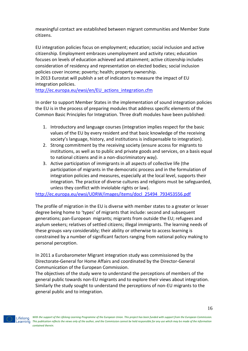meaningful contact are established between migrant communities and Member State citizens.

EU integration policies focus on employment; education; social inclusion and active citizenship. Employment embraces unemployment and activity rates; education focuses on levels of education achieved and attainment; active citizenship includes consideration of residency and representation on elected bodies; social inclusion policies cover income; poverty; health; property ownership.

In 2013 Eurostat will publish a set of indicators to measure the impact of EU integration policies.

[http://ec.europa.eu/ewsi/en/EU\\_actions\\_integration.cfm](http://ec.europa.eu/ewsi/en/EU_actions_integration.cfm)

In order to support Member States in the implementation of sound integration policies the EU is in the process of preparing modules that address specific elements of the Common Basic Principles for Integration. Three draft modules have been published:

- 1. Introductory and language courses (integration implies respect for the basic values of the EU by every resident and that basic knowledge of the receiving society's language, history, and institutions is indispensable to integration).
- 2. Strong commitment by the receiving society (ensure access for migrants to institutions, as well as to public and private goods and services, on a basis equal to national citizens and in a non-discriminatory way).
- 3. Active participation of immigrants in all aspects of collective life (the participation of migrants in the democratic process and in the formulation of integration policies and measures, especially at the local level, supports their integration. The practice of diverse cultures and religions must be safeguarded, unless they conflict with inviolable rights or law).

[http://ec.europa.eu/ewsi/UDRW/images/items/docl\\_25494\\_793453556.pdf](http://ec.europa.eu/ewsi/UDRW/images/items/docl_25494_793453556.pdf)

The profile of migration in the EU is diverse with member states to a greater or lesser degree being home to 'types' of migrants that include: second and subsequent generations; pan-European migrants; migrants from outside the EU; refugees and asylum seekers; relatives of settled citizens; illegal immigrants. The learning needs of these groups vary considerably; their ability or otherwise to access learning is constrained by a number of significant factors ranging from national policy making to personal perception.

In 2011 a Eurobarometer Migrant integration study was commissioned by the Directorate-General for Home Affairs and coordinated by the Director-General Communication of the European Commission.

The objectives of the study were to understand the perceptions of members of the general public towards non-EU migrants and to explore their views about integration. Similarly the study sought to understand the perceptions of non-EU migrants to the general public and to integration.

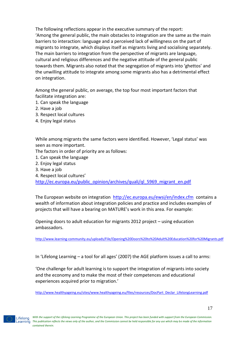The following reflections appear in the executive summary of the report: 'Among the general public, the main obstacles to integration are the same as the main barriers to interaction: language and a perceived lack of willingness on the part of migrants to integrate, which displays itself as migrants living and socialising separately. The main barriers to integration from the perspective of migrants are language, cultural and religious differences and the negative attitude of the general public towards them. Migrants also noted that the segregation of migrants into 'ghettos' and the unwilling attitude to integrate among some migrants also has a detrimental effect on integration.

Among the general public, on average, the top four most important factors that facilitate integration are:

- 1. Can speak the language
- 2. Have a job
- 3. Respect local cultures
- 4. Enjoy legal status

While among migrants the same factors were identified. However, 'Legal status' was seen as more important.

The factors in order of priority are as follows:

- 1. Can speak the language
- 2. Enjoy legal status
- 3. Have a job
- 4. Respect local cultures'

[http://ec.europa.eu/public\\_opinion/archives/quali/ql\\_5969\\_migrant\\_en.pdf](http://ec.europa.eu/public_opinion/archives/quali/ql_5969_migrant_en.pdf)

The European website on integration <http://ec.europa.eu/ewsi/en/index.cfm> contains a wealth of information about integration policies and practice and includes examples of projects that will have a bearing on MATURE's work in this area. For example:

Opening doors to adult education for migrants 2012 project – using education ambassadors.

<http://www.learning-community.eu/uploads/File/Opening%20Doors%20to%20Adult%20Education%20for%20Migrants.pdf>

In 'Lifelong Learning – a tool for all ages' (2007) the AGE platform issues a call to arms:

'One challenge for adult learning is to support the integration of migrants into society and the economy and to make the most of their competences and educational experiences acquired prior to migration.'

[http://www.healthyageing.eu/sites/www.healthyageing.eu/files/resources/DocPart\\_Declar\\_LifelongLearning.pdf](http://www.healthyageing.eu/sites/www.healthyageing.eu/files/resources/DocPart_Declar_LifelongLearning.pdf)

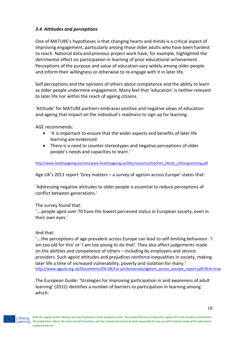# *3.4 Attitudes and perceptions*

One of MATURE's hypotheses is that changing hearts and minds is a critical aspect of improving engagement, particularly among those older adults who have been hardest to reach. National data and previous project work have, for example, highlighted the detrimental effect on participation in learning of prior educational achievement. Perceptions of the purpose and value of education vary widely among older people and inform their willingness or otherwise to re-engage with it in later life.

Self perceptions and the opinions of others about competence and the ability to learn as older people undermine engagement. Many feel that 'education' is neither relevant to later life nor within the reach of ageing citizens.

'Attitude' for MATURE partners embraces positive and negative views of education and ageing that impact on the individual's readiness to sign up for learning.

AGE recommends:

- 'It is important to ensure that the wider aspects and benefits of later life learning are evidenced.
- There is a need to counter stereotypes and negative perceptions of older people's needs and capacities to learn.'

[http://www.healthyageing.eu/sites/www.healthyageing.eu/files/resources/DocPart\\_Declar\\_LifelongLearning.pdf](http://www.healthyageing.eu/sites/www.healthyageing.eu/files/resources/DocPart_Declar_LifelongLearning.pdf)

Age UK's 2011 report 'Grey matters – a survey of ageism across Europe' states that:

'Addressing negative attitudes to older people is essential to reduce perceptions of conflict between generations.'

The survey found that:

'….people aged over 70 have the lowest perceived status in European society, even in their own eyes.'

#### And that:

'….the perceptions of age prevalent across Europe can lead to self-limiting behaviour: 'I am too old for this' or 'I am too young to do that'. They also affect judgements made on the abilities and competence of others – including by employers and service providers. Such ageist attitudes and prejudices reinforce inequalities in society, making later life a time of increased vulnerability, poverty and isolation for many.' [http://www.ageuk.org.uk/Documents/EN-GB/For-professionals/ageism\\_across\\_europe\\_report.pdf?dtrk=true](http://www.ageuk.org.uk/Documents/EN-GB/For-professionals/ageism_across_europe_report.pdf?dtrk=true)

The European Guide: 'Strategies for improving participation in and awareness of adult learning' (2012) identifies a number of barriers to participation in learning among which:

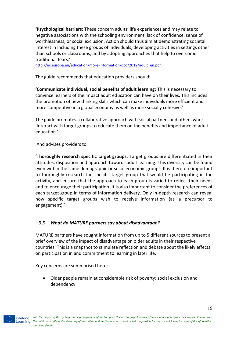**'Psychological barriers:** These concern adults' life experiences and may relate to negative associations with the schooling environment, lack of confidence, sense of worthlessness, or social exclusion. Action should thus aim at demonstrating societal interest in including these groups of individuals, developing activities in settings other than schools or classrooms, and by adopting approaches that help to overcome traditional fears.'

[http://ec.europa.eu/education/more-information/doc/2012/adult\\_en.pdf](http://ec.europa.eu/education/more-information/doc/2012/adult_en.pdf)

The guide recommends that education providers should:

**'Communicate individual, social benefits of adult learning:** This is necessary to convince learners of the impact adult education can have on their lives. This includes the promotion of new thinking skills which can make individuals more efficient and more competitive in a global economy as well as more socially cohesive.'

The guide promotes a collaborative approach with social partners and others who: 'Interact with target groups to educate them on the benefits and importance of adult education.'

And advises providers to:

**'Thoroughly research specific target groups:** Target groups are differentiated in their attitudes, disposition and approach towards adult learning. This diversity can be found even within the same demographic or socio economic groups. It is therefore important to thoroughly research the specific target group that would be participating in the activity, and ensure that the approach to each group is varied to reflect their needs and to encourage their participation. It is also important to consider the preferences of each target group in terms of information delivery. Only in-depth research can reveal how specific target groups wish to receive information (as a precursor to engagement).'

# *3.5 What do MATURE partners say about disadvantage?*

MATURE partners have sought information from up to 5 different sources to present a brief overview of the impact of disadvantage on older adults in their respective countries. This is a snapshot to stimulate reflection and debate about the likely effects on participation in and commitment to learning in later life.

Key concerns are summarised here:

 Older people remain at considerable risk of poverty; social exclusion and dependency.

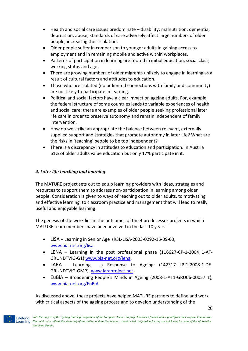- Health and social care issues predominate disability; malnutrition; dementia; depression; abuse; standards of care adversely affect large numbers of older people, increasing their isolation.
- Older people suffer in comparison to younger adults in gaining access to employment and in remaining mobile and active within workplaces.
- Patterns of participation in learning are rooted in initial education, social class, working status and age.
- There are growing numbers of older migrants unlikely to engage in learning as a result of cultural factors and attitudes to education.
- Those who are isolated (no or limited connections with family and community) are not likely to participate in learning.
- Political and social factors have a clear impact on ageing adults. For, example, the federal structure of some countries leads to variable experiences of health and social care; there are examples of older people seeking professional later life care in order to preserve autonomy and remain independent of family intervention.
- How do we strike an appropriate the balance between relevant, externally supplied support and strategies that promote autonomy in later life? What are the risks in 'teaching' people to be too independent?
- There is a discrepancy in attitudes to education and participation. In Austria 61% of older adults value education but only 17% participate in it.

# *4. Later life teaching and learning*

The MATURE project sets out to equip learning providers with ideas, strategies and resources to support them to address non-participation in learning among older people. Consideration is given to ways of reaching out to older adults, to motivating and effective learning, to classroom practice and management that will lead to really useful and enjoyable learning.

The genesis of the work lies in the outcomes of the 4 predecessor projects in which MATURE team members have been involved in the last 10 years:

- LISA Learning in Senior Age (R3L-LISA-2003-0292-16-09-03, [www.bia-net.org/lisa.](http://www.bia-net.org/lisa)
- LENA Learning in the post professional phase (116627-CP-1-2004 1-AT-GRUNDTVIG-G1) [www.bia-net.org/lena.](http://www.bia-net.org/lena)
- LARA Learning, a Response to Ageing: (142317-LLP-1-2008-1-DE-GRUNDTVIG-GMP), [www.laraproject.net.](http://www.laraproject.net/)
- EuBiA Broadening People´s Minds in Ageing (2008-1-AT1-GRU06-00057 1), [www.bia-net.org/EuBiA.](http://www.bia-net.org/eubia)

As discussed above, these projects have helped MATURE partners to define and work with critical aspects of the ageing process and to develop understanding of the

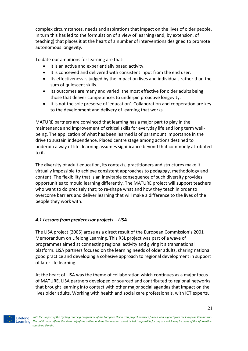complex circumstances, needs and aspirations that impact on the lives of older people. In turn this has led to the formulation of a view of learning (and, by extension, of teaching) that places it at the heart of a number of interventions designed to promote autonomous longevity.

To date our ambitions for learning are that:

- It is an active and experientially based activity.
- It is conceived and delivered with consistent input from the end user.
- Its effectiveness is judged by the impact on lives and individuals rather than the sum of quiescent skills.
- Its outcomes are many and varied; the most effective for older adults being those that deliver competences to underpin proactive longevity.
- It is not the sole preserve of 'education'. Collaboration and cooperation are key to the development and delivery of learning that works.

MATURE partners are convinced that learning has a major part to play in the maintenance and improvement of critical skills for everyday life and long term wellbeing. The application of what has been learned is of paramount importance in the drive to sustain independence. Placed centre stage among actions destined to underpin a way of life, learning assumes significance beyond that commonly attributed to it.

The diversity of adult education, its contexts, practitioners and structures make it virtually impossible to achieve consistent approaches to pedagogy, methodology and content. The flexibility that is an inevitable consequence of such diversity provides opportunities to mould learning differently. The MATURE project will support teachers who want to do precisely that; to re-shape what and how they teach in order to overcome barriers and deliver learning that will make a difference to the lives of the people they work with.

# *4.1 Lessons from predecessor projects – LISA*

The LISA project (2005) arose as a direct result of the European Commission's 2001 Memorandum on Lifelong Learning. This R3L project was part of a wave of programmes aimed at connecting regional activity and giving it a transnational platform. LISA partners focused on the learning needs of older adults, sharing national good practice and developing a cohesive approach to regional development in support of later life learning.

At the heart of LISA was the theme of collaboration which continues as a major focus of MATURE. LISA partners developed or sourced and contributed to regional networks that brought learning into contact with other major social agendas that impact on the lives older adults. Working with health and social care professionals, with ICT experts,

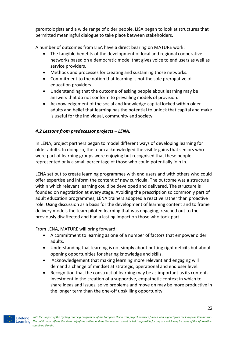gerontologists and a wide range of older people, LISA began to look at structures that permitted meaningful dialogue to take place between stakeholders.

A number of outcomes from LISA have a direct bearing on MATURE work:

- The tangible benefits of the development of local and regional cooperative networks based on a democratic model that gives voice to end users as well as service providers.
- Methods and processes for creating and sustaining those networks.
- Commitment to the notion that learning is not the sole prerogative of education providers.
- Understanding that the outcome of asking people about learning may be answers that do not conform to prevailing models of provision.
- Acknowledgement of the social and knowledge capital locked within older adults and belief that learning has the potential to unlock that capital and make is useful for the individual, community and society.

# *4.2 Lessons from predecessor projects – LENA.*

In LENA, project partners began to model different ways of developing learning for older adults. In doing so, the team acknowledged the visible gains that seniors who were part of learning groups were enjoying but recognised that these people represented only a small percentage of those who could potentially join in.

LENA set out to create learning programmes with end users and with others who could offer expertise and inform the content of new curricula. The outcome was a structure within which relevant learning could be developed and delivered. The structure is founded on negotiation at every stage. Avoiding the prescription so commonly part of adult education programmes, LENA trainers adopted a reactive rather than proactive role. Using discussion as a basis for the development of learning content and to frame delivery models the team piloted learning that was engaging, reached out to the previously disaffected and had a lasting impact on those who took part.

From LENA, MATURE will bring forward:

- A commitment to learning as one of a number of factors that empower older adults.
- Understanding that learning is not simply about putting right deficits but about opening opportunities for sharing knowledge and skills.
- Acknowledgement that making learning more relevant and engaging will demand a change of mindset at strategic, operational and end user level.
- Recognition that the construct of learning may be as important as its content. Investment in the creation of a supportive, empathetic context in which to share ideas and issues, solve problems and move on may be more productive in the longer term than the one-off upskilling opportunity.

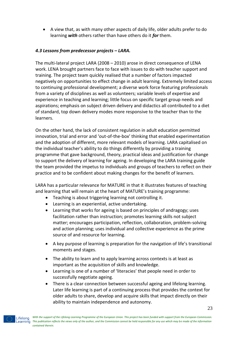A view that, as with many other aspects of daily life, older adults prefer to do learning *with* others rather than have others do it *for* them.

# *4.3 Lessons from predecessor projects – LARA.*

The multi-lateral project LARA (2008 – 2010) arose in direct consequence of LENA work. LENA brought partners face to face with issues to do with teacher support and training. The project team quickly realised that a number of factors impacted negatively on opportunities to effect change in adult learning. Extremely limited access to continuing professional development; a diverse work force featuring professionals from a variety of disciplines as well as volunteers; variable levels of expertise and experience in teaching and learning; little focus on specific target group needs and aspirations; emphasis on subject driven delivery and didactics all contributed to a diet of standard, top down delivery modes more responsive to the teacher than to the learners.

On the other hand, the lack of consistent regulation in adult education permitted innovation, trial and error and 'out-of-the-box' thinking that enabled experimentation and the adoption of different, more relevant models of learning. LARA capitalised on the individual teacher's ability to do things differently by providing a training programme that gave background, theory, practical ideas and justification for change to support the delivery of learning for ageing. In developing the LARA training guide the team provided the impetus to individuals and groups of teachers to reflect on their practice and to be confident about making changes for the benefit of learners.

LARA has a particular relevance for MATURE in that it illustrates features of teaching and learning that will remain at the heart of MATURE's training programme:

- Teaching is about triggering learning not controlling it.
- Learning is an experiential, active undertaking.
- Learning that works for ageing is based on principles of andragogy; uses facilitation rather than instruction; promotes learning skills not subject matter; encourages participation, reflection, collaboration, problem-solving and action planning; uses individual and collective experience as the prime source of and resource for learning.
- A key purpose of learning is preparation for the navigation of life's transitional moments and stages.
- The ability to learn and to apply learning across contexts is at least as important as the acquisition of skills and knowledge.
- Learning is one of a number of 'literacies' that people need in order to successfully negotiate ageing.
- There is a clear connection between successful ageing and lifelong learning. Later life learning is part of a continuing process that provides the context for older adults to share, develop and acquire skills that impact directly on their ability to maintain independence and autonomy.

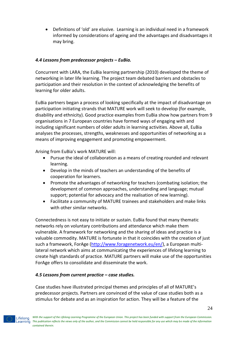Definitions of 'old' are elusive. Learning is an individual need in a framework informed by considerations of ageing and the advantages and disadvantages it may bring.

# *4.4 Lessons from predecessor projects – EuBia.*

Concurrent with LARA, the EuBia learning partnership (2010) developed the theme of networking in later life learning. The project team debated barriers and obstacles to participation and their resolution in the context of acknowledging the benefits of learning for older adults.

EuBia partners began a process of looking specifically at the impact of disadvantage on participation initiating strands that MATURE work will seek to develop (for example, disability and ethnicity). Good practice examples from EuBia show how partners from 9 organisations in 7 European countries have formed ways of engaging with and including significant numbers of older adults in learning activities. Above all, EuBia analyses the processes, strengths, weaknesses and opportunities of networking as a means of improving engagement and promoting empowerment.

Arising from EuBia's work MATURE will:

- Pursue the ideal of collaboration as a means of creating rounded and relevant learning.
- Develop in the minds of teachers an understanding of the benefits of cooperation for learners.
- Promote the advantages of networking for teachers (combating isolation; the development of common approaches, understanding and language; mutual support; potential for advocacy and the realisation of new learning).
- Facilitate a community of MATURE trainees and stakeholders and make links with other similar networks.

Connectedness is not easy to initiate or sustain. EuBia found that many thematic networks rely on voluntary contributions and attendance which make them vulnerable. A framework for networking and the sharing of ideas and practice is a valuable commodity. MATURE is fortunate in that it coincides with the creation of just such a framework, ForAge [\(http://www.foragenetwork.eu/en/\)](http://www.foragenetwork.eu/en/), a European multilateral network which aims at communicating the experiences of lifelong learning to create high standards of practice. MATURE partners will make use of the opportunities ForAge offers to consolidate and disseminate the work.

# *4.5 Lessons from current practice – case studies.*

Case studies have illustrated principal themes and principles of all of MATURE's predecessor projects. Partners are convinced of the value of case studies both as a stimulus for debate and as an inspiration for action. They will be a feature of the

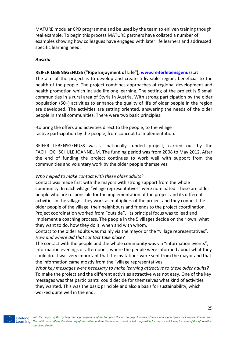MATURE modular CPD programme and be used by the team to enliven training though real example. To begin this process MATURE partners have collated a number of examples showing how colleagues have engaged with later life learners and addressed specific learning need.

#### *Austria*

# **REIFER LEBENSGENUSS ("Ripe Enjoyment of Life"), [www.reiferlebensgenuss.at](http://www.reiferlebensgenuss.at/)**

The aim of the project is to develop and create a liveable region, beneficial to the health of the people. The project combines approaches of regional development and health promotion which include lifelong learning. The setting of the project is 5 small communities in a rural area of Styria in Austria. With strong participation by the older population (50+) activities to enhance the quality of life of older people in the region are developed. The activities are setting oriented, answering the needs of the older people in small communities. There were two basic principles:

-to bring the offers and activities direct to the people, to the village -active participation by the people, from concept to implementation.

REIFER LEBENSGENUSS was a nationally funded project, carried out by the FACHHOCHSCHULE JOANNEUM. The funding period was from 2008 to May 2012. After the end of funding the project continues to work well with support from the communities and voluntary work by the older people themselves.

# *Who helped to make contact with these older adults?*

Contact was made first with the mayors with strong support from the whole community. In each village "village representatives" were nominated. These are older people who are responsible for the implementation of the project and its different activities in the village. They work as multipliers of the project and they connect the older people of the village, their neighbours and friends to the project coordination. Project coordination worked from "outside". Its principal focus was to lead and implement a coaching process. The people in the 5 villages decide on their own, what they want to do, how they do it, when and with whom.

Contact to the older adults was mainly via the mayor or the "village representatives". *How and where did that contact take place?* 

The contact with the people and the whole community was via "information events", information evenings or afternoons, where the people were informed about what they could do. It was very important that the invitations were sent from the mayor and that the information came mostly from the "village representatives".

*What key messages were necessary to make learning attractive to these older adults?* To make the project and the different activities attractive was not easy. One of the key messages was that participants could decide for themselves what kind of activities they wanted. This was the basic principle and also a basis for sustainability, which worked quite well in the end.

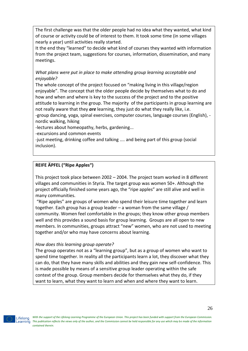The first challenge was that the older people had no idea what they wanted, what kind of course or activity could be of interest to them. It took some time (in some villages nearly a year) until activities really started.

It the end they "learned" to decide what kind of courses they wanted with information from the project team, suggestions for courses, information, dissemination, and many meetings.

*What plans were put in place to make attending group learning acceptable and enjoyable?*

The whole concept of the project focused on "making living in this village/region enjoyable". The concept that the older people decide by themselves what to do and how and when and where is key to the success of the project and to the positive attitude to learning in the group. The majority of the participants in group learning are not really aware that they *are* learning, they just do what they really like, i.e.

-group dancing, yoga, spinal exercises, computer courses, language courses (English), nordic walking, hiking

-lectures about homeopathy, herbs, gardening...

-excursions and common events

-just meeting, drinking coffee and talking .... and being part of this group (social inclusion).

# **REIFE ÄPFEL ("Ripe Apples")**

This project took place between 2002 – 2004. The project team worked in 8 different villages and communities in Styria. The target group was women 50+. Although the project officially finished some years ago, the "ripe apples" are still alive and well in many communities.

"Ripe apples" are groups of women who spend their leisure time together and learn together. Each group has a group leader – a woman from the same village / community. Women feel comfortable in the groups; they know other group members well and this provides a sound basis for group learning. Groups are all open to new members. In communities, groups attract "new" women, who are not used to meeting together and/or who may have concerns about learning.

# *How does this learning group operate?*

The group operates not as a "learning group", but as a group of women who want to spend time together. In reality all the participants learn a lot, they discover what they can do, that they have many skills and abilities and they gain new self-confidence. This is made possible by means of a sensitive group leader operating within the safe context of the group. Group members decide for themselves what they do, if they want to learn, what they want to learn and when and where they want to learn.

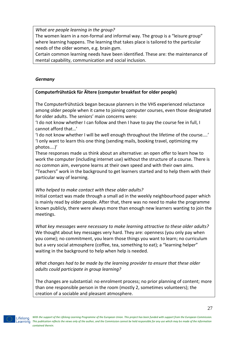*What are people learning in the group?* 

The women learn in a non-formal and informal way. The group is a "leisure group" where learning happens. The learning that takes place is tailored to the particular needs of the older women, e.g. brain gym.

Certain common learning needs have been identified. These are: the maintenance of mental capability, communication and social inclusion.

# *Germany*

# **Computerfrühstück für Ältere (computer breakfast for older people)**

The Computerfrühstück began because planners in the VHS experienced reluctance among older people when it came to joining computer courses, even those designated for older adults. The seniors' main concerns were:

'I do not know whether I can follow and then I have to pay the course fee in full, I cannot afford that…'

'I do not know whether I will be well enough throughout the lifetime of the course....' 'I only want to learn this one thing (sending mails, booking travel, optimizing my photos....)'

These responses made us think about an alternative: an open offer to learn how to work the computer (including internet use) without the structure of a course. There is no common aim, everyone learns at their own speed and with their own aims.

"Teachers" work in the background to get learners started and to help them with their particular way of learning.

#### *Who helped to make contact with these older adults?*

Initial contact was made through a small ad in the weekly neighbourhood paper which is mainly read by older people. After that, there was no need to make the programme known publicly, there were always more than enough new learners wanting to join the meetings.

*What key messages were necessary to make learning attractive to these older adults?* We thought about key messages very hard. They are: openness (you only pay when you come); no commitment, you learn those things you want to learn; no curriculum but a very social atmosphere (coffee, tea, something to eat); a "learning helper" waiting in the background to help when help is needed.

*What changes had to be made by the learning provider to ensure that these older adults could participate in group learning?*

The changes are substantial: no enrolment process; no prior planning of content; more than one responsible person in the room (mostly 2, sometimes volunteers); the creation of a sociable and pleasant atmosphere.

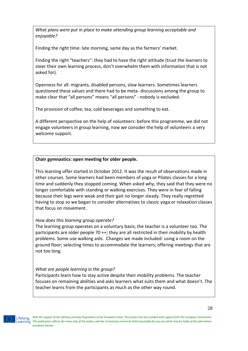*What plans were put in place to make attending group learning acceptable and enjoyable?*

Finding the right time: late morning, same day as the farmers' market.

Finding the right "teachers": they had to have the right attitude (trust the learners to steer their own learning process, don't overwhelm them with information that is not asked for).

Openness for all: migrants, disabled persons, slow learners. Sometimes learners questioned these values and there had to be meta- discussions among the group to make clear that "all persons" means "all persons" - nobody is excluded.

The provision of coffee, tea, cold beverages and something to eat.

A different perspective on the help of volunteers: before this programme, we did not engage volunteers in group learning, now we consider the help of volunteers a very welcome support.

#### **Chair gymnastics: open meeting for older people.**

This learning offer started in October 2012. It was the result of observations made in other courses. Some learners had been members of yoga or Pilates classes for a long time and suddenly they stopped coming. When asked why, they said that they were no longer comfortable with standing or walking exercises. They were in fear of falling because their legs were weak and their gait no longer steady. They really regretted having to stop so we began to consider alternatives to classic yoga or relaxation classes that focus on movement.

#### *How does this learning group operate?*

The learning group operates on a voluntary basis; the teacher is a volunteer too. The participants are older people 70 ++; they are all restricted in their mobility by health problems. Some use walking aids. Changes we made included: using a room on the ground floor; selecting times to accommodate the learners; offering meetings that are not too long.

#### *What are people learning in the group?*

Participants learn how to stay active despite their mobility problems. The teacher focuses on remaining abilities and asks learners what suits them and what doesn't. The teacher learns from the participants as much as the other way round.

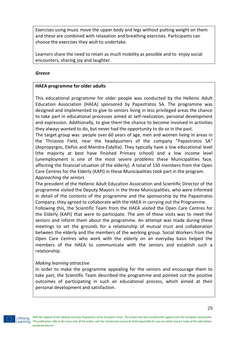Exercises using music move the upper body and legs without putting weight on them and these are combined with relaxation and breathing exercises. Participants can choose the exercises they wish to undertake.

Learners share the need to retain as much mobility as possible and to enjoy social encounters, sharing joy and laughter.

#### *Greece*

# **HAEA programme for older adults**

This educational programme for older people was conducted by the Hellenic Adult Education Association (HAEA) sponsored by Papastratos SA. The programme was designed and implemented to give to seniors living in less privileged areas the chance to take part in educational processes aimed at self-realization, personal development and expression. Additionally, to give them the chance to become involved in activities they always wanted to do, but never had the opportunity to do so in the past.

The target group was people over 60 years of age, men and women living in areas in the Thriassio Field, near the headquarters of the company "Papastratos SA" (Aspropyrgos, Elefsis and Mandra-Eidyllia). They typically have a low educational level (the majority at best have finished Primary school) and a low income level (unemployment is one of the most severe problems these Municipalities face, affecting the financial situation of the elderly). A total of 150 members from the Open Care Centres for the Elderly (KAPI) in these Municipalities took part in the program. *Approaching the seniors*

The president of the Hellenic Adult Education Association and Scientific Director of the programme visited the Deputy Mayors in the three Municipalities, who were informed in detail of the contents of the programme and the sponsorship by the Papastratos Company; they agreed to collaborate with the HAEA in carrying out the Programme.

Following this, the Scientific Team from the HAEA visited the Open Care Centres for the Elderly (KAPI) that were to participate. The aim of these visits was to meet the seniors and inform them about the programme. An attempt was made during these meetings to set the grounds for a relationship of mutual trust and collaboration between the elderly and the members of the working group. Social Workers from the Open Care Centres who work with the elderly on an everyday basis helped the members of the HAEA to communicate with the seniors and establish such a relationship.

# *Making learning attractive*

In order to make the programme appealing for the seniors and encourage them to take part, the Scientific Team described the programme and pointed out the positive outcomes of participating in such an educational process, which aimed at their personal development and satisfaction.



*With the support of the Lifelong Learning Programme of the European Union. This project has been funded with support from the European Commission. This publication reflects the views only of the author, and the Commission cannot be held responsible for any use which may be made of the information contained therein.*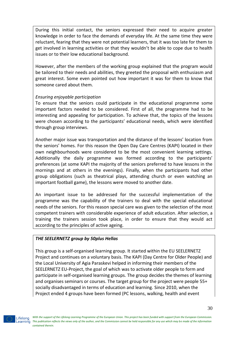During this initial contact, the seniors expressed their need to acquire greater knowledge in order to face the demands of everyday life. At the same time they were reluctant, fearing that they were not potential learners, that it was too late for them to get involved in learning activities or that they wouldn't be able to cope due to health issues or to their low educational background.

However, after the members of the working group explained that the program would be tailored to their needs and abilities, they greeted the proposal with enthusiasm and great interest. Some even pointed out how important it was for them to know that someone cared about them.

#### *Ensuring enjoyable participation*

To ensure that the seniors could participate in the educational programme some important factors needed to be considered. First of all, the programme had to be interesting and appealing for participation. To achieve that, the topics of the lessons were chosen according to the participants' educational needs, which were identified through group interviews.

Another major issue was transportation and the distance of the lessons' location from the seniors' homes. For this reason the Open Day Care Centres (KAPI) located in their own neighbourhoods were considered to be the most convenient learning settings. Additionally the daily programme was formed according to the participants' preferences (at some KAPI the majority of the seniors preferred to have lessons in the mornings and at others in the evenings). Finally, when the participants had other group obligations (such as theatrical plays, attending church or even watching an important football game), the lessons were moved to another date.

An important issue to be addressed for the successful implementation of the programme was the capability of the trainers to deal with the special educational needs of the seniors. For this reason special care was given to the selection of the most competent trainers with considerable experience of adult education. After selection, a training the trainers session took place, in order to ensure that they would act according to the principles of active ageing.

# *THE SEELERNETZ group by 50plus Hellas*

This group is a self-organised learning group. It started within the EU SEELERNETZ Project and continues on a voluntary basis. The KAPI (Day Centre for Older People) and the Local University of Agia Paraskevi helped in informing their members of the SEELERNETZ EU-Project, the goal of which was to activate older people to form and participate in self-organised learning groups. The group decides the themes of learning and organises seminars or courses. The target group for the project were people 55+ socially disadvantaged in terms of education and learning. Since 2010, when the Project ended 4 groups have been formed (PC lessons, walking, health and event

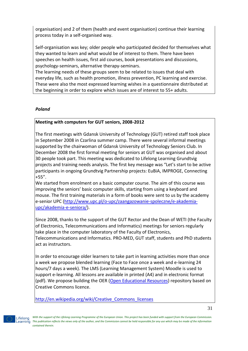organisation) and 2 of them (health and event organisation) continue their learning process today in a self-organised way.

Self-organisation was key; older people who participated decided for themselves what they wanted to learn and what would be of interest to them. There have been speeches on health issues, first aid courses, book presentations and discussions, psychology-seminars, alternative therapy-seminars.

The learning needs of these groups seem to be related to issues that deal with everyday life, such as health promotion, illness prevention, PC learning and exercise. These were also the most expressed learning wishes in a questionnaire distributed at the beginning in order to explore which issues are of interest to 55+ adults.

# *Poland*

#### **Meeting with computers for GUT seniors, 2008-2012**

The first meetings with Gdansk University of Technology (GUT) retired staff took place in September 2008 in Czarlina summer camp. There were several informal meetings supported by the chairwoman of Gdansk University of Technology Seniors Club. In December 2008 the first formal meeting for seniors at GUT was organised and about 30 people took part. This meeting was dedicated to Lifelong Learning Grundtvig projects and training needs analysis. The first key message was "Let's start to be active participants in ongoing Grundtvig Partnership projects: EuBiA, IMPROGE, Connecting +55".

We started from enrolment on a basic computer course. The aim of this course was improving the seniors' basic computer skills, starting from using a keyboard and mouse. The first training materials in a form of books were sent to us by the academy e-senior UPC [\(http://www.upc.pl/o-upc/zaangazowanie-spoleczne/e-akademia](http://www.upc.pl/o-upc/zaangazowanie-spoleczne/e-akademia-upc/akademia-e-seniora/)[upc/akademia-e-seniora/\)](http://www.upc.pl/o-upc/zaangazowanie-spoleczne/e-akademia-upc/akademia-e-seniora/).

Since 2008, thanks to the support of the GUT Rector and the Dean of WETI (the Faculty of Electronics, Telecommunications and Informatics) meetings for seniors regularly take place in the computer laboratory of the Faculty of Electronics, Telecommunications and Informatics. PRO-MED, GUT staff, students and PhD students act as instructors.

In order to encourage older learners to take part in learning activities more than once a week we propose blended learning (Face to Face once a week and e-learning 24 hours/7 days a week). The LMS (Learning Management System) Moodle is used to support e-learning. All lessons are available in printed (A4) and in electronic format (pdf). We propose building the OER [\(Open Educational Resources\)](http://en.wikipedia.org/wiki/Open_educational_resources) repository based on Creative Commons licence.

[http://en.wikipedia.org/wiki/Creative\\_Commons\\_licenses](http://en.wikipedia.org/wiki/Creative_Commons_licenses)

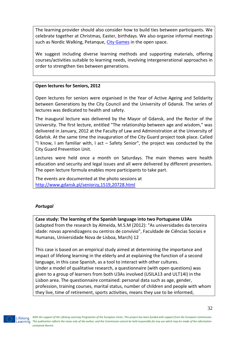The learning provider should also consider how to build ties between participants. We celebrate together at Christmas, Easter, birthdays. We also organise informal meetings such as Nordic Walking, Petanque, [City Games](http://utw.moodle.pl/file.php/1/LLLE/game2.pdf) in the open space.

We suggest including diverse learning methods and supporting materials, offering courses/activities suitable to learning needs, involving intergenerational approaches in order to strengthen ties between generations.

# **Open lectures for Seniors, 2012**

Open lectures for seniors were organised in the Year of Active Ageing and Solidarity between Generations by the City Council and the University of Gdansk. The series of lectures was dedicated to health and safety.

The inaugural lecture was delivered by the Mayor of Gdansk, and the Rector of the University. The first lecture, entitled "The relationship between age and wisdom," was delivered in January, 2012 at the Faculty of Law and Administration at the University of Gdańsk. At the same time the inauguration of the City Guard project took place. Called "I know, I am familiar with, I act – Safety Senior", the project was conducted by the City Guard Prevention Unit.

Lectures were held once a month on Saturdays. The main themes were health education and security and legal issues and all were delivered by different presenters. The open lecture formula enables more participants to take part.

The events are documented at the photo sessions at <http://www.gdansk.pl/seniorzy,1519,20728.html>

# *Portugal*

**Case study: The learning of the Spanish language into two Portuguese U3As** (adapted from the research by Almeida, M.S.M (2012): "As universidades da terceira idade: novas aprendizagens ou centros de convívio", Faculdade de Ciências Sociais e Humanas, Universidade Nova de Lisboa, March) 12

This case is based on an empirical study aimed at determining the importance and impact of lifelong learning in the elderly and at explaining the function of a second language, in this case Spanish, as a tool to interact with other cultures. Under a model of qualitative research, a questionnaire (with open questions) was given to a group of learners from both U3As involved (USILA13 and ULT14I) in the Lisbon area. The questionnaire contained: personal data such as age, gender, profession, training courses, marital status, number of children and people with whom they live, time of retirement, sports activities, means they use to be informed,

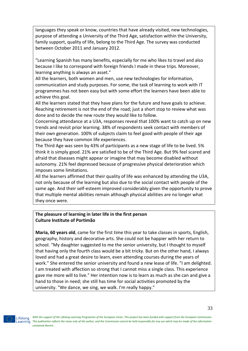languages they speak or know, countries that have already visited, new technologies, purpose of attending a University of the Third Age, satisfaction within the University, family support, quality of life, belong to the Third Age. The survey was conducted between October 2011 and January 2012.

"Learning Spanish has many benefits, especially for me who likes to travel and also because I like to correspond with foreign friends I made in these trips. Moreover, learning anything is always an asset."

All the learners, both women and men, use new technologies for information, communication and study purposes. For some, the task of learning to work with IT programmes has not been easy but with some effort the learners have been able to achieve this goal.

All the learners stated that they have plans for the future and have goals to achieve. Reaching retirement is not the end of the road; just a short stop to review what was done and to decide the new route they would like to follow.

Concerning attendance at a U3A, responses reveal that 100% want to catch up on new trends and revisit prior learning. 38% of respondents seek contact with members of their own generation. 100% of subjects claim to feel good with people of their age because they have common life experiences.

The Third Age was seen by 43% of participants as a new stage of life to be lived. 5% think it is simply good. 21% are satisfied to be of the Third Age. But 9% feel scared and afraid that diseases might appear or imagine that may become disabled without autonomy. 21% feel depressed because of progressive physical deterioration which imposes some limitations.

All the learners affirmed that their quality of life was enhanced by attending the U3A, not only because of the learning but also due to the social contact with people of the same age. And their self-esteem improved considerably given the opportunity to prove that multiple mental abilities remain although physical abilities are no longer what they once were.

# **The pleasure of learning in later life in the first person Culture Institute of Portimão**

**Maria, 60 years old**, came for the first time this year to take classes in sports, English, geography, history and decorative arts. She could not be happier with her return to school. "My daughter suggested to me the senior university, but I thought to myself that having only the fourth class would be a bit tricky. But on the other hand, I always loved and had a great desire to learn, even attending courses during the years of work." She entered the senior university and found a new lease of life. "I am delighted. I am treated with affection so strong that I cannot miss a single class. This experience gave me more will to live." Her intention now is to learn as much as she can and give a hand to those in need; she still has time for social activities promoted by the university. "We dance, we sing, we walk. I'm really happy."

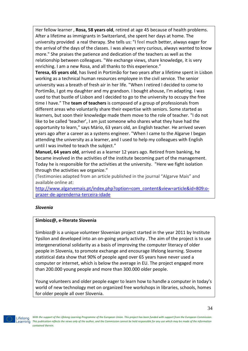Her fellow learner , **Rosa, 58 years old**, retired at age 45 because of health problems. After a lifetime as immigrants in Switzerland, she spent her days at home. The university provided a real therapy. She tells us: "I feel much better, always eager for the arrival of the days of the classes. I was always very curious, always wanted to know more." She praises the patience and dedication of the teachers as well as the relationship between colleagues. "We exchange views, share knowledge, it is very enriching. I am a new Rosa, and all thanks to this experience."

**Teresa, 65 years old**, has lived in Portimão for two years after a lifetime spent in Lisbon working as a technical human resources employee in the civil service. The senior university was a breath of fresh air in her life. "When I retired I decided to come to Portimão, I got my daughter and my grandson. I bought ahouse, I'm adapting. I was used to that bustle of Lisbon and I decided to go to the university to occupy the free time I have." The **team of teachers** is composed of a group of professionals from different areas who voluntarily share their expertise with seniors. Some started as learners, but soon their knowledge made them move to the role of teacher. "I do not like to be called 'teacher', I am just someone who shares what they have had the opportunity to learn," says Mário, 63 years old, an English teacher. He arrived seven years ago after a career as a systems engineer. "When I came to the Algarve I began attending the university as a learner, and I used to help my colleagues with English until I was invited to teach the subject."

**Manuel, 64 years old**, arrived as a learner 12 years ago. Retired from banking, he became involved in the activities of the institute becoming part of the management. Today he is responsible for the activities at the university. "Here we fight isolation through the activities we organize."

(Testimonies adapted from an article published in the journal "Algarve Mais" and available online at:

[http://www.algarvemais.pt/index.php?option=com\\_content&view=article&id=809:o](http://www.algarvemais.pt/index.php?option=com_content&view=article&id=809:o-prazer-de-aprenderna-terceira-idade)[prazer-de-aprenderna-terceira-idade](http://www.algarvemais.pt/index.php?option=com_content&view=article&id=809:o-prazer-de-aprenderna-terceira-idade)

#### *Slovenia*

#### **Simbioz@, e-literate Slovenia**

Simbioz@ is a unique volunteer Slovenian project started in the year 2011 by Institute Ypsilon and developed into an on-going yearly activity . The aim of the project is to use intergenerational solidarity as a basis of improving the computer literacy of older people in Slovenia, to promote exchange and encourage lifelong learning. Slovene statistical data show that 90% of people aged over 65 years have never used a computer or internet, which is below the average in EU. The project engaged more than 200.000 young people and more than 300.000 older people.

Young volunteers and older people eager to learn how to handle a computer in today's world of new technology met on organized free workshops in libraries, schools, homes for older people all over Slovenia.

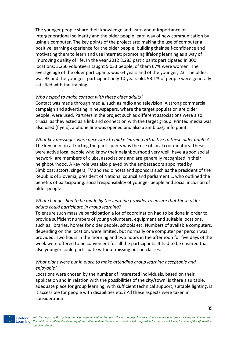The younger people share their knowledge and learn about importance of intergenerational solidarity and the older people learn way of new communication by using a computer. The key points of the project are: making the use of computer a positive learning experience for the older people; building their self-confidence and motivating them to learn and use internet; promoting lifelong learning as a way of improving quality of life. In the year 2012 8.283 participants participated in 300 locations: 3.250 volunteers taught 5.033 people, of them 67% were women. The average age of the older participants was 64 years and of the younger, 23. The oldest was 93 and the youngest participant only 10 years old. 93.1% of people were generally satisfied with the training.

#### *Who helped to make contact with these older adults?*

Contact was made through media, such as radio and television. A strong commercial campaign and advertising in newspapers, where the target population are older people, were used. Partners in the project such as different associations were also crucial as they acted as a link and connection with the target group. Printed media was also used (flyers), a phone line was opened and also a Simbioz@ info point.

*What key messages were necessary to make learning attractive to these older adults?* The key point in attracting the participants was the use of local coordinators. These were active local people who know their neighbourhood very well, have a good social network, are members of clubs, associations and are generally recognized in their neighbourhood. A key role was also played by the ambassadors appointed by Simbioza: actors, singers, TV and radio hosts and sponsors such as the president of the Republic of Slovenia, president of National council and parliament … who outlined the benefits of participating: social responsibility of younger people and social inclusion of older people.

# *What changes had to be made by the learning provider to ensure that these older adults could participate in group learning?*

To ensure such massive participation a lot of coordination had to be done in order to provide sufficient numbers of young volunteers, equipment and suitable locations, such as libraries, homes for older people, schools etc. Numbers of available computers, depending on the location, were limited, but normally one computer per person was provided. Two hours in the morning and two hours in the afternoon for five days of the week were offered to be convenient for all the participants. It had to be ensured that also younger could participate without missing out on classes.

# *What plans were put in place to make attending group learning acceptable and enjoyable?*

Locations were chosen by the number of interested individuals, based on their application and in relation with the possibilities of the city/town: is there a suitable, adequate place for group learning, with sufficient technical support, suitable lighting, is it accessible for people with disabilities etc.? All these aspects were taken in consideration.

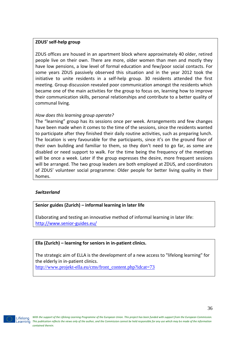# **ZDUS' self-help group**

ZDUS offices are housed in an apartment block where approximately 40 older, retired people live on their own. There are more, older women than men and mostly they have low pensions, a low level of formal education and few/poor social contacts. For some years ZDUS passively observed this situation and in the year 2012 took the initiative to unite residents in a self-help group. 30 residents attended the first meeting. Group discussion revealed poor communication amongst the residents which became one of the main activities for the group to focus on, learning how to improve their communication skills, personal relationships and contribute to a better quality of communal living.

#### *How does this learning group operate?*

The "learning" group has its sessions once per week. Arrangements and few changes have been made when it comes to the time of the sessions, since the residents wanted to participate after they finished their daily routine activities, such as preparing lunch. The location is very favourable for the participants, since it's on the ground floor of their own building and familiar to them, so they don't need to go far, as some are disabled or need support to walk. For the time being the frequency of the meetings will be once a week. Later if the group expresses the desire, more frequent sessions will be arranged. The two group leaders are both employed at ZDUS, and coordinators of ZDUS' volunteer social programme: Older people for better living quality in their homes.

#### *Switzerland*

# **Senior guides (Zurich) – informal learning in later life**

Elaborating and testing an innovative method of informal learning in later life: <http://www.senior-guides.eu/>

# **Ella (Zurich) – learning for seniors in in-patient clinics.**

The strategic aim of ELLA is the development of a new access to "lifelong learning" for the elderly in in-patient clinics. [http://www.projekt-ella.eu/cms/front\\_content.php?idcat=73](http://www.projekt-ella.eu/cms/front_content.php?idcat=73)



*With the support of the Lifelong Learning Programme of the European Union. This project has been funded with support from the European Commission. This publication reflects the views only of the author, and the Commission cannot be held responsible for any use which may be made of the information contained therein.*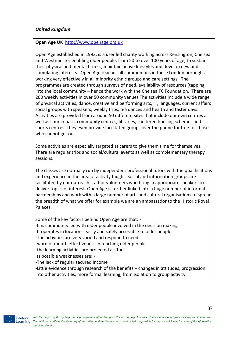# **Open Age UK** [http://www.openage.org.uk](http://www.openage.org.uk/)

Open Age established in 1993, is a user led charity working across Kensington, Chelsea and Westminster enabling older people, from 50 to over 100 years of age, to sustain their physical and mental fitness, maintain active lifestyles and develop new and stimulating interests. Open Age reaches all communities in these London boroughs working very effectively in all minority ethnic groups and care settings. The programmes are created through surveys of need, availability of resources (tapping into the local community – hence the work with the Chelsea FC Foundation. There are 200 weekly activities in over 50 community venues The activities include a wide range of physical activities, dance, creative and performing arts, IT, languages, current affairs social groups with speakers, weekly trips, tea dances and health and taster days. Activities are provided from around 50 different sites that include our own centres as well as church halls, community centres, libraries, sheltered housing schemes and sports centres. They even provide facilitated groups over the phone for free for those who cannot get out.

Some activities are especially targeted at carers to give them time for themselves. There are regular trips and social/cultural events as well as complementary therapy sessions.

The classes are normally run by independent professional tutors with the qualifications and experience in the area of activity taught. Social and information groups are facilitated by our outreach staff or volunteers who bring in appropriate speakers to deliver topics of interest. Open Age is further linked into a huge number of informal partnerships and work with a large number of arts and cultural organisations to spread the breadth of what we offer for example we are an ambassador to the Historic Royal Palaces.

Some of the key factors behind Open Age are that: -

-It is community led with older people involved in the decision making

-It operates in locations easily and safely accessible to older people

-The activities are very varied and respond to need

-word of mouth effectiveness in reaching older people

-the learning activities are projected as 'fun'

Its possible weaknesses are: -

-The lack of regular secured income

-Little evidence through research of the benefits – changes in attitudes, progression into other activities, more formal learning, from isolation to group activity.

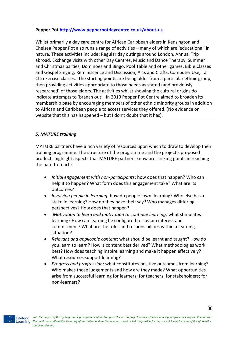# **Pepper Pot<http://www.pepperpotdaycentre.co.uk/about-us>**

Whilst primarily a day care centre for African Caribbean elders in Kensington and Chelsea Pepper Pot also runs a range of activities – many of which are 'educational' in nature. These activities include**:** Regular day outings around London, Annual Trip abroad, Exchange visits with other Day Centres, Music and Dance Therapy, Summer and Christmas parties, Dominoes and Bingo, Pool Table and other games, Bible Classes and Gospel Singing, Reminiscence and Discussion, Arts and Crafts, Computer Use, Tai Chi exercise classes. The starting points are being older from a particular ethnic group, then providing activities appropriate to those needs as stated (and previously researched) of those elders. The activities whilst showing the cultural origins do indicate attempts to 'branch out'. In 2010 Pepper Pot Centre aimed to broaden its membership base by encouraging members of other ethnic minority groups in addition to African and Caribbean people to access services they offered. (No evidence on website that this has happened – but I don't doubt that it has).

# *5. MATURE training*

MATURE partners have a rich variety of resources upon which to draw to develop their training programme. The structure of the programme and the project's proposed products highlight aspects that MATURE partners know are sticking points in reaching the hard to reach:

- *Initial engagement with non-participants*: how does that happen? Who can help it to happen? What form does this engagement take? What are its outcomes?
- *Involving people in learning*: how do people 'own' learning? Who else has a stake in learning? How do they have their say? Who manages differing perspectives? How does that happen?
- *Motivation to learn and motivation to continue learning*: what stimulates learning? How can learning be configured to sustain interest and commitment? What are the roles and responsibilities within a learning situation?
- *Relevant and applicable content*: what should be learnt and taught? How do you learn to learn? How is content best derived? What methodologies work best? How does teaching inspire learning and make it happen effectively? What resources support learning?
- *Progress and progression*: what constitutes positive outcomes from learning? Who makes those judgements and how are they made? What opportunities arise from successful learning for learners; for teachers; for stakeholders; for non-learners?

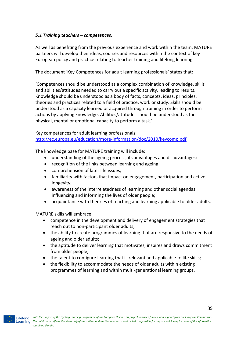# *5.1 Training teachers – competences.*

As well as benefiting from the previous experience and work within the team, MATURE partners will develop their ideas, courses and resources within the context of key European policy and practice relating to teacher training and lifelong learning.

The document 'Key Competences for adult learning professionals' states that:

'Competences should be understood as a complex combination of knowledge, skills and abilities/attitudes needed to carry out a specific activity, leading to results. Knowledge should be understood as a body of facts, concepts, ideas, principles, theories and practices related to a field of practice, work or study. Skills should be understood as a capacity learned or acquired through training in order to perform actions by applying knowledge. Abilities/attitudes should be understood as the physical, mental or emotional capacity to perform a task.'

Key competences for adult learning professionals: <http://ec.europa.eu/education/more-information/doc/2010/keycomp.pdf>

The knowledge base for MATURE training will include:

- understanding of the ageing process, its advantages and disadvantages;
- recognition of the links between learning and ageing;
- comprehension of later life issues;
- familiarity with factors that impact on engagement, participation and active longevity;
- awareness of the interrelatedness of learning and other social agendas influencing and informing the lives of older people;
- acquaintance with theories of teaching and learning applicable to older adults.

MATURE skills will embrace:

- competence in the development and delivery of engagement strategies that reach out to non-participant older adults;
- the ability to create programmes of learning that are responsive to the needs of ageing and older adults;
- the aptitude to deliver learning that motivates, inspires and draws commitment from older people;
- the talent to configure learning that is relevant and applicable to life skills;
- the flexibility to accommodate the needs of older adults within existing programmes of learning and within multi-generational learning groups.

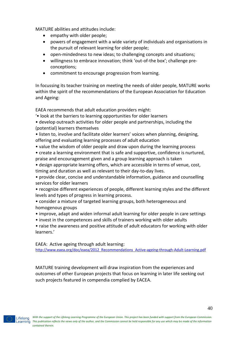MATURE abilities and attitudes include:

- empathy with older people;
- powers of engagement with a wide variety of individuals and organisations in the pursuit of relevant learning for older people;
- open-mindedness to new ideas; to challenging concepts and situations;
- willingness to embrace innovation; think 'out-of-the box'; challenge preconceptions;
- commitment to encourage progression from learning.

In focussing its teacher training on meeting the needs of older people, MATURE works within the spirit of the recommendations of the European Association for Education and Ageing:

EAEA recommends that adult education providers might:

- '• look at the barriers to learning opportunities for older learners
- develop outreach activities for older people and partnerships, including the (potential) learners themselves
- listen to, involve and facilitate older learners' voices when planning, designing, offering and evaluating learning processes of adult education
- value the wisdom of older people and draw upon during the learning process
- create a learning environment that is safe and supportive, confidence is nurtured, praise and encouragement given and a group learning approach is taken
- design appropriate learning offers, which are accessible in terms of venue, cost, timing and duration as well as relevant to their day-to-day lives.
- provide clear, concise and understandable information, guidance and counselling services for older learners
- recognize different experiences of people, different learning styles and the different levels and types of progress in learning process.
- consider a mixture of targeted learning groups, both heterogeneous and homogenous groups
- improve, adapt and widen informal adult learning for older people in care settings
- invest in the competences and skills of trainers working with older adults
- raise the awareness and positive attitude of adult educators for working with older learners.'

EAEA: Active ageing through adult learning:

[http://www.eaea.org/doc/eaea/2012\\_Recommendations\\_Active-ageing-through-Adult-Learning.pdf](http://www.eaea.org/doc/eaea/2012_Recommendations_Active-ageing-through-Adult-Learning.pdf)

MATURE training development will draw inspiration from the experiences and outcomes of other European projects that focus on learning in later life seeking out such projects featured in compendia complied by EACEA.

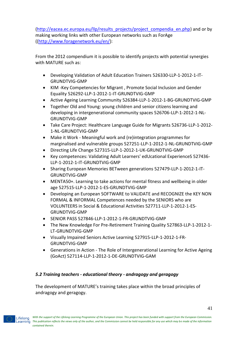[\(http://eacea.ec.europa.eu/llp/results\\_projects/project\\_compendia\\_en.php\)](http://eacea.ec.europa.eu/llp/results_projects/project_compendia_en.php) and or by making working links with other European networks such as ForAge ([\(http://www.foragenetwork.eu/en/\)](http://www.foragenetwork.eu/en/):

From the 2012 compendium it is possible to identify projects with potential synergies with MATURE such as:

- Developing Validation of Adult Education Trainers 526330-LLP-1-2012-1-IT-GRUNDTVIG-GMP
- KIM -Key Competencies for Migrant , Promote Social Inclusion and Gender Equality 526292-LLP-1-2012-1-IT-GRUNDTVIG-GMP
- Active Ageing Learning Community 526384-LLP-1-2012-1-BG-GRUNDTVIG-GMP
- Together Old and Young: young children and senior citizens learning and developing in intergenerational community spaces 526706-LLP-1-2012-1-NL-GRUNDTVIG-GMP
- Take Care Project: Healthcare Language Guide for Migrants 526736-LLP-1-2012- 1-NL-GRUNDTVIG-GMP
- Make it Work Meaningful work and (re)integration programmes for marginalised and vulnerable groups 527251-LLP-1-2012-1-NL-GRUNDTVIG-GMP
- Directing Life Change 527315-LLP-1-2012-1-UK-GRUNDTVIG-GMP
- Key competences: Validating Adult Learners' edUcational ExperienceS 527436- LLP-1-2012-1-IT-GRUNDTVIG-GMP
- Sharing European Memories BETween generations 527479-LLP-1-2012-1-IT-GRUNDTVIG-GMP
- MENTA50+. Learning to take actions for mental fitness and wellbeing in older age 527515-LLP-1-2012-1-ES-GRUNDTVIG-GMP
- Developing an European SOFTWARE to VALIDATE and RECOGNIZE the KEY NON FORMAL & INFORMAL Competences needed by the SENIORS who are VOLUNTEERS in Social & Educational Activities 527711-LLP-1-2012-1-ES-GRUNDTVIG-GMP
- SENIOR PASS 527846-LLP-1-2012-1-FR-GRUNDTVIG-GMP
- The New Knowledge For Pre-Retirement Training Quality 527863-LLP-1-2012-1- LT-GRUNDTVIG-GMP
- Visually Impaired Seniors Active Learning 527915-LLP-1-2012-1-FR-GRUNDTVIG-GMP
- Generations in Action The Role of Intergenerational Learning for Active Ageing (GoAct) 527114-LLP-1-2012-1-DE-GRUNDTVIG-GAM

# *5.2 Training teachers - educational theory - andragogy and geragogy*

The development of MATURE's training takes place within the broad principles of andragogy and geragogy.

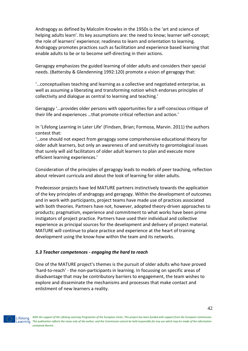Andragogy as defined by Malcolm Knowles in the 1950s is the 'art and science of helping adults learn'. Its key assumptions are: the need to know; learner self-concept; the role of learners' experience; readiness to learn and orientation to learning. Andragogy promotes practices such as facilitation and experience based learning that enable adults to be or to become self-directing in their actions.

Geragogy emphasizes the guided learning of older adults and considers their special needs. (Battersby & Glendenning 1992:120) promote a vision of geragogy that:

'…conceptualises teaching and learning as a collective and negotiated enterprise, as well as assuming a liberating and transforming notion which endorses principles of collectivity and dialogue as central to learning and teaching.'

Geragogy '…provides older persons with opportunities for a self-conscious critique of their life and experiences …that promote critical reflection and action.'

In 'Lifelong Learning in Later Life' (Findsen, Brian; Formosa, Marvin. 2011) the authors contest that:

'…one should not expect from geragogy some comprehensive educational theory for older adult learners, but only an awareness of and sensitivity to gerontological issues that surely will aid facilitators of older adult learners to plan and execute more efficient learning experiences.'

Consideration of the principles of geragogy leads to models of peer teaching, reflection about relevant curricula and about the look of learning for older adults.

Predecessor projects have led MATURE partners instinctively towards the application of the key principles of andragogy and geragogy. Within the development of outcomes and in work with participants, project teams have made use of practices associated with both theories. Partners have not, however, adopted theory-driven approaches to products; pragmatism, experience and commitment to what works have been prime instigators of project practice. Partners have used their individual and collective experience as principal sources for the development and delivery of project material. MATURE will continue to place practice and experience at the heart of training development using the know-how within the team and its networks.

# *5.3 Teacher competences - engaging the hard to reach*

One of the MATURE project's themes is the pursuit of older adults who have proved 'hard-to-reach' - the non-participants in learning. In focussing on specific areas of disadvantage that may be contributory barriers to engagement, the team wishes to explore and disseminate the mechanisms and processes that make contact and enlistment of new learners a reality.

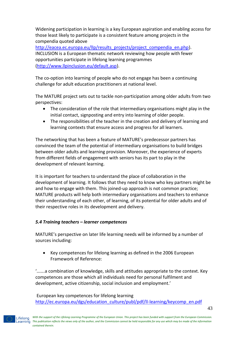Widening participation in learning is a key European aspiration and enabling access for those least likely to participate is a consistent feature among projects in the compendia quoted above

[http://eacea.ec.europa.eu/llp/results\\_projects/project\\_compendia\\_en.php\)](http://eacea.ec.europa.eu/llp/results_projects/project_compendia_en.php). INCLUSION is a European thematic network reviewing how people with fewer opportunities participate in lifelong learning programmes [\(http://www.llpinclusion.eu/default.asp\)](http://www.llpinclusion.eu/default.asp).

The co-option into learning of people who do not engage has been a continuing challenge for adult education practitioners at national level.

The MATURE project sets out to tackle non-participation among older adults from two perspectives:

- The consideration of the role that intermediary organisations might play in the initial contact, signposting and entry into learning of older people.
- The responsibilities of the teacher in the creation and delivery of learning and learning contexts that ensure access and progress for all learners.

The networking that has been a feature of MATURE's predecessor partners has convinced the team of the potential of intermediary organisations to build bridges between older adults and learning provision. Moreover, the experience of experts from different fields of engagement with seniors has its part to play in the development of relevant learning.

It is important for teachers to understand the place of collaboration in the development of learning. It follows that they need to know who key partners might be and how to engage with them. This joined-up approach is not common practice; MATURE products will help both intermediary organisations and teachers to enhance their understanding of each other, of learning, of its potential for older adults and of their respective roles in its development and delivery.

# *5.4 Training teachers – learner competences*

MATURE's perspective on later life learning needs will be informed by a number of sources including:

 Key competences for lifelong learning as defined in the 2006 European Framework of Reference:

'…….a combination of knowledge, skills and attitudes appropriate to the context. Key competences are those which all individuals need for personal fulfilment and development, active citizenship, social inclusion and employment.'

European key competences for lifelong learning

[http://ec.europa.eu/dgs/education\\_culture/publ/pdf/ll-learning/keycomp\\_en.pdf](http://ec.europa.eu/dgs/education_culture/publ/pdf/ll-learning/keycomp_en.pdf)

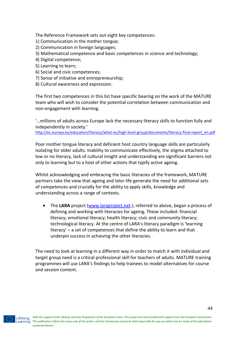The Reference Framework sets out eight key competences:

1) Communication in the mother tongue;

- 2) Communication in foreign languages;
- 3) Mathematical competence and basic competences in science and technology;
- 4) Digital competence;
- 5) Learning to learn;
- 6) Social and civic competences;
- 7) Sense of initiative and entrepreneurship;
- 8) Cultural awareness and expression.

The first two competences in this list have specific bearing on the work of the MATURE team who will wish to consider the potential correlation between communication and non-engagement with learning.

'…millions of adults across Europe lack the necessary literacy skills to function fully and independently in society.'

[http://ec.europa.eu/education/literacy/what-eu/high-level-group/documents/literacy-final-report\\_en.pdf](http://ec.europa.eu/education/literacy/what-eu/high-level-group/documents/literacy-final-report_en.pdf)

Poor mother tongue literacy and deficient host country language skills are particularly isolating for older adults. Inability to communicate effectively, the stigma attached to low or no literacy, lack of cultural insight and understanding are significant barriers not only to learning but to a host of other actions that typify active ageing.

Whilst acknowledging and embracing the basic literacies of the framework, MATURE partners take the view that ageing and later life generate the need for additional sets of competences and crucially for the ability to apply skills, knowledge and understanding across a range of contexts.

 The **LARA** project [\(www.laraproject.net.](http://www.laraproject.net/)), referred to above, began a process of defining and working with literacies for ageing. These included: financial literacy; emotional literacy; health literacy; civic and community literacy; technological literacy. At the centre of LARA's literacy paradigm is 'learning literacy' – a set of competences that define the ability to learn and that underpin success in achieving the other literacies.

The need to look at learning in a different way in order to match it with individual and target group need is a critical professional skill for teachers of adults. MATURE training programmes will use LARA's findings to help trainees to model alternatives for course and session content.

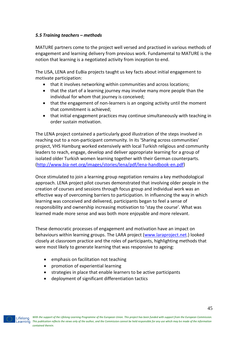# *5.5 Training teachers – methods*

MATURE partners come to the project well versed and practised in various methods of engagement and learning delivery from previous work. Fundamental to MATURE is the notion that learning is a negotiated activity from inception to end.

The LISA, LENA and EuBia projects taught us key facts about initial engagement to motivate participation:

- that it involves networking within communities and across locations;
- that the start of a learning journey may involve many more people than the individual for whom that journey is conceived;
- that the engagement of non-learners is an ongoing activity until the moment that commitment is achieved;
- that initial engagement practices may continue simultaneously with teaching in order sustain motivation.

The LENA project contained a particularly good illustration of the steps involved in reaching out to a non-participant community. In its 'Sharing across communities' project, VHS Hamburg worked extensively with local Turkish religious and community leaders to reach, engage, develop and deliver appropriate learning for a group of isolated older Turkish women learning together with their German counterparts. [\(http://www.bia-net.org/images/stories/lena/pdf/lena-handbook-en.pdf\)](http://www.bia-net.org/images/stories/lena/pdf/lena-handbook-en.pdf)

Once stimulated to join a learning group negotiation remains a key methodological approach. LENA project pilot courses demonstrated that involving older people in the creation of courses and sessions through focus group and individual work was an effective way of overcoming barriers to participation. In influencing the way in which learning was conceived and delivered, participants began to feel a sense of responsibility and ownership increasing motivation to 'stay the course'. What was learned made more sense and was both more enjoyable and more relevant.

These democratic processes of engagement and motivation have an impact on behaviours within learning groups. The LARA project [\(www.laraproject.net.](http://www.laraproject.net/)) looked closely at classroom practice and the roles of participants, highlighting methods that were most likely to generate learning that was responsive to ageing:

- emphasis on facilitation not teaching
- promotion of experiential learning
- strategies in place that enable learners to be active participants
- deployment of significant differentiation tactics

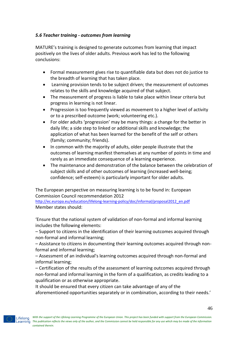# *5.6 Teacher training - outcomes from learning*

MATURE's training is designed to generate outcomes from learning that impact positively on the lives of older adults. Previous work has led to the following conclusions:

- Formal measurement gives rise to quantifiable data but does not do justice to the breadth of learning that has taken place.
- Learning provision tends to be subject driven; the measurement of outcomes relates to the skills and knowledge acquired of that subject.
- The measurement of progress is liable to take place within linear criteria but progress in learning is not linear.
- Progression is too frequently viewed as movement to a higher level of activity or to a prescribed outcome (work; volunteering etc.).
- For older adults 'progression' may be many things: a change for the better in daily life; a side step to linked or additional skills and knowledge; the application of what has been learned for the benefit of the self or others (family; community; friends).
- In common with the majority of adults, older people illustrate that the outcomes of learning manifest themselves at any number of points in time and rarely as an immediate consequence of a learning experience.
- The maintenance and demonstration of the balance between the celebration of subject skills and of other outcomes of learning (increased well-being; confidence; self-esteem) is particularly important for older adults.

The European perspective on measuring learning is to be found in: European Commission Council recommendation 2012

[http://ec.europa.eu/education/lifelong-learning-policy/doc/informal/proposal2012\\_en.pdf](http://ec.europa.eu/education/lifelong-learning-policy/doc/informal/proposal2012_en.pdf) Member states should:

'Ensure that the national system of validation of non-formal and informal learning includes the following elements:

– Support to citizens in the identification of their learning outcomes acquired through non-formal and informal learning;

– Assistance to citizens in documenting their learning outcomes acquired through nonformal and informal learning;

– Assessment of an individual's learning outcomes acquired through non-formal and informal learning;

– Certification of the results of the assessment of learning outcomes acquired through non-formal and informal learning in the form of a qualification, as credits leading to a qualification or as otherwise appropriate.

It should be ensured that every citizen can take advantage of any of the aforementioned opportunities separately or in combination, according to their needs.'